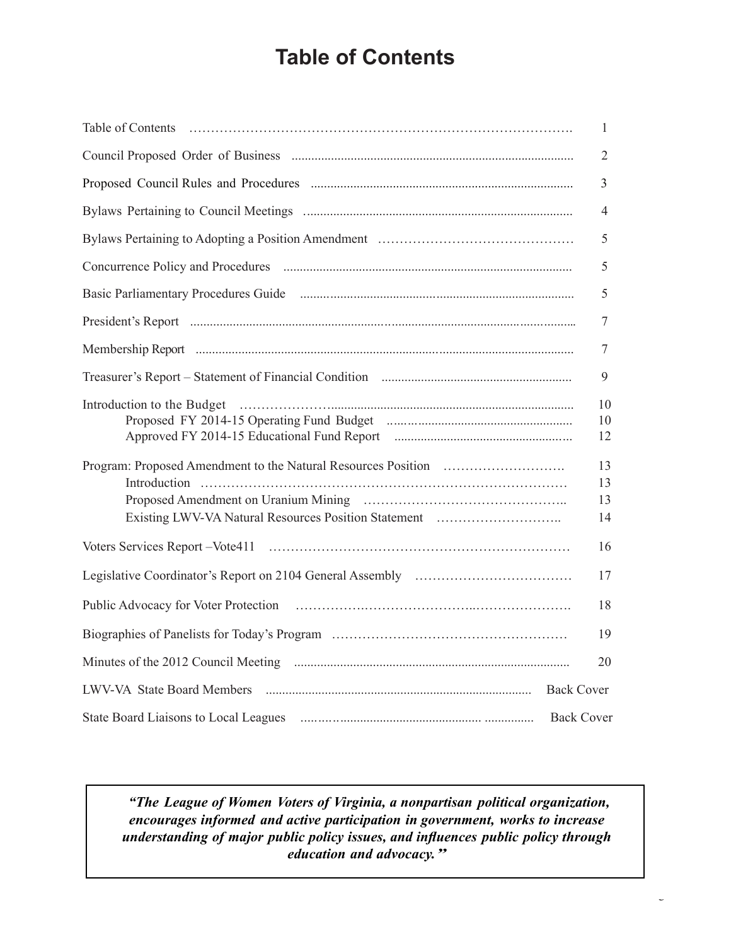# **Table of Contents**

|                                                                                                                                                                                                                                                                                                                               | 1                    |
|-------------------------------------------------------------------------------------------------------------------------------------------------------------------------------------------------------------------------------------------------------------------------------------------------------------------------------|----------------------|
|                                                                                                                                                                                                                                                                                                                               | $\overline{2}$       |
|                                                                                                                                                                                                                                                                                                                               | $\overline{3}$       |
|                                                                                                                                                                                                                                                                                                                               | 4                    |
|                                                                                                                                                                                                                                                                                                                               | 5                    |
|                                                                                                                                                                                                                                                                                                                               | 5                    |
|                                                                                                                                                                                                                                                                                                                               | 5                    |
|                                                                                                                                                                                                                                                                                                                               | 7                    |
|                                                                                                                                                                                                                                                                                                                               | 7                    |
|                                                                                                                                                                                                                                                                                                                               | 9                    |
| Introduction to the Budget (and according to the Budget of the Budget of the Budget of the substantial contract of the Budget of the substantial contract of the Budget of the substantial contract of the Budget of the subst<br>Approved FY 2014-15 Educational Fund Report manufactured FY 2014-15 Educational Fund Report | 10<br>10<br>12       |
|                                                                                                                                                                                                                                                                                                                               | 13<br>13<br>13<br>14 |
|                                                                                                                                                                                                                                                                                                                               | 16                   |
|                                                                                                                                                                                                                                                                                                                               | 17                   |
|                                                                                                                                                                                                                                                                                                                               | 18                   |
|                                                                                                                                                                                                                                                                                                                               | 19                   |
|                                                                                                                                                                                                                                                                                                                               | 20                   |
| <b>Back Cover</b>                                                                                                                                                                                                                                                                                                             |                      |
| <b>Back Cover</b>                                                                                                                                                                                                                                                                                                             |                      |

*"The League of Women Voters of Virginia, a nonpartisan political organization, encourages informed and active participation in government, works to increase understanding of major public policy issues, and influences public policy through education and advocacy."*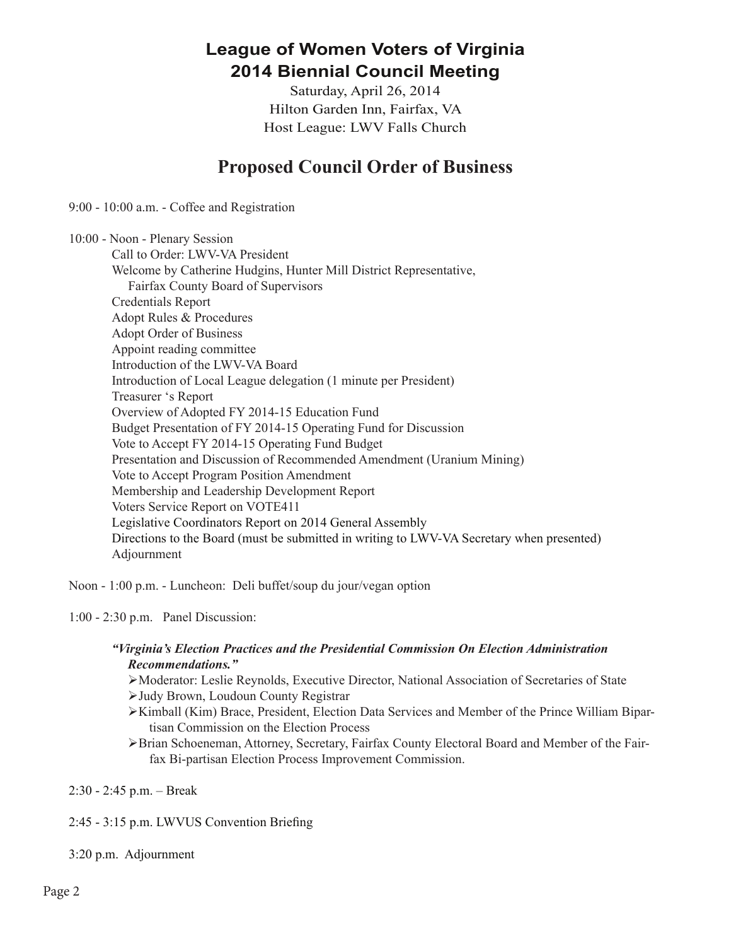## **League of Women Voters of Virginia 2014 Biennial Council Meeting**

Saturday, April 26, 2014 Hilton Garden Inn, Fairfax, VA Host League: LWV Falls Church

## **Proposed Council Order of Business**

9:00 - 10:00 a.m. - Coffee and Registration

10:00 - Noon - Plenary Session Call to Order: LWV-VA President Welcome by Catherine Hudgins, Hunter Mill District Representative, Fairfax County Board of Supervisors Credentials Report Adopt Rules & Procedures Adopt Order of Business Appoint reading committee Introduction of the LWV-VA Board Introduction of Local League delegation (1 minute per President) Treasurer 's Report Overview of Adopted FY 2014-15 Education Fund Budget Presentation of FY 2014-15 Operating Fund for Discussion Vote to Accept FY 2014-15 Operating Fund Budget Presentation and Discussion of Recommended Amendment (Uranium Mining) Vote to Accept Program Position Amendment Membership and Leadership Development Report Voters Service Report on VOTE411 Legislative Coordinators Report on 2014 General Assembly Directions to the Board (must be submitted in writing to LWV-VA Secretary when presented) Adjournment

Noon - 1:00 p.m. - Luncheon: Deli buffet/soup du jour/vegan option

1:00 - 2:30 p.m. Panel Discussion:

### *"Virginia's Election Practices and the Presidential Commission On Election Administration Recommendations."*

Ø Moderator: Leslie Reynolds, Executive Director, National Association of Secretaries of State

Ø Judy Brown, Loudoun County Registrar

- Ø Kimball (Kim) Brace, President, Election Data Services and Member of the Prince William Bipartisan Commission on the Election Process
- Ø Brian Schoeneman, Attorney, Secretary, Fairfax County Electoral Board and Member of the Fairfax Bi-partisan Election Process Improvement Commission.

2:30 - 2:45 p.m. – Break

2:45 - 3:15 p.m. LWVUS Convention Briefing

3:20 p.m. Adjournment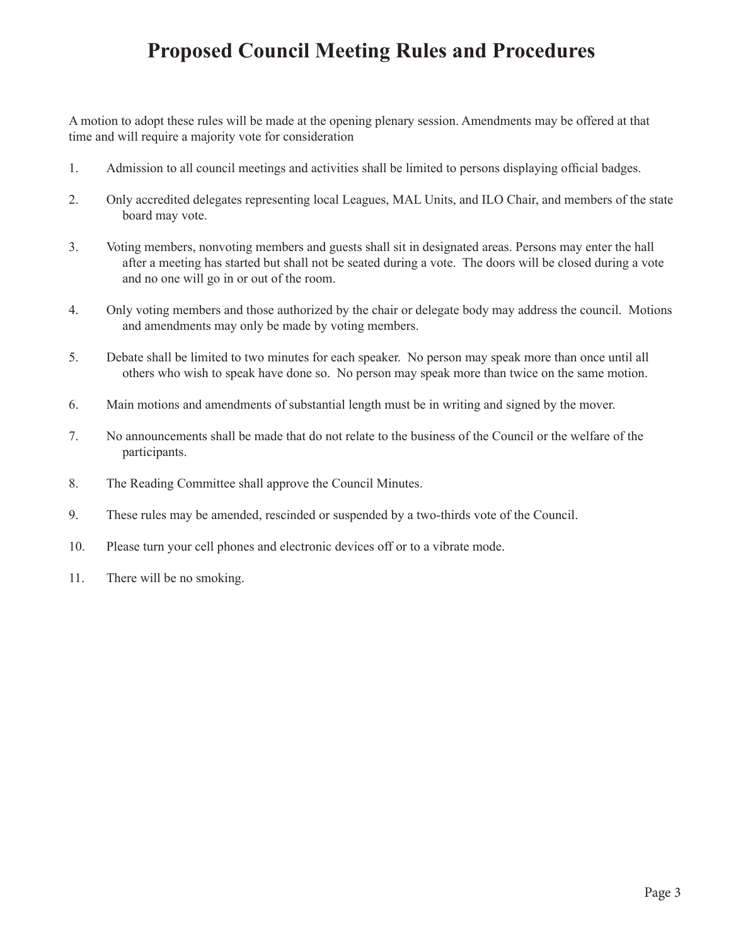## **Proposed Council Meeting Rules and Procedures**

A motion to adopt these rules will be made at the opening plenary session. Amendments may be offered at that time and will require a majority vote for consideration

- 1. Admission to all council meetings and activities shall be limited to persons displaying official badges.
- 2. Only accredited delegates representing local Leagues, MAL Units, and ILO Chair, and members of the state board may vote.
- 3. Voting members, nonvoting members and guests shall sit in designated areas. Persons may enter the hall after a meeting has started but shall not be seated during a vote. The doors will be closed during a vote and no one will go in or out of the room.
- 4. Only voting members and those authorized by the chair or delegate body may address the council. Motions and amendments may only be made by voting members.
- 5. Debate shall be limited to two minutes for each speaker. No person may speak more than once until all others who wish to speak have done so. No person may speak more than twice on the same motion.
- 6. Main motions and amendments of substantial length must be in writing and signed by the mover.
- 7. No announcements shall be made that do not relate to the business of the Council or the welfare of the participants.
- 8. The Reading Committee shall approve the Council Minutes.
- 9. These rules may be amended, rescinded or suspended by a two-thirds vote of the Council.
- 10. Please turn your cell phones and electronic devices off or to a vibrate mode.
- 11. There will be no smoking.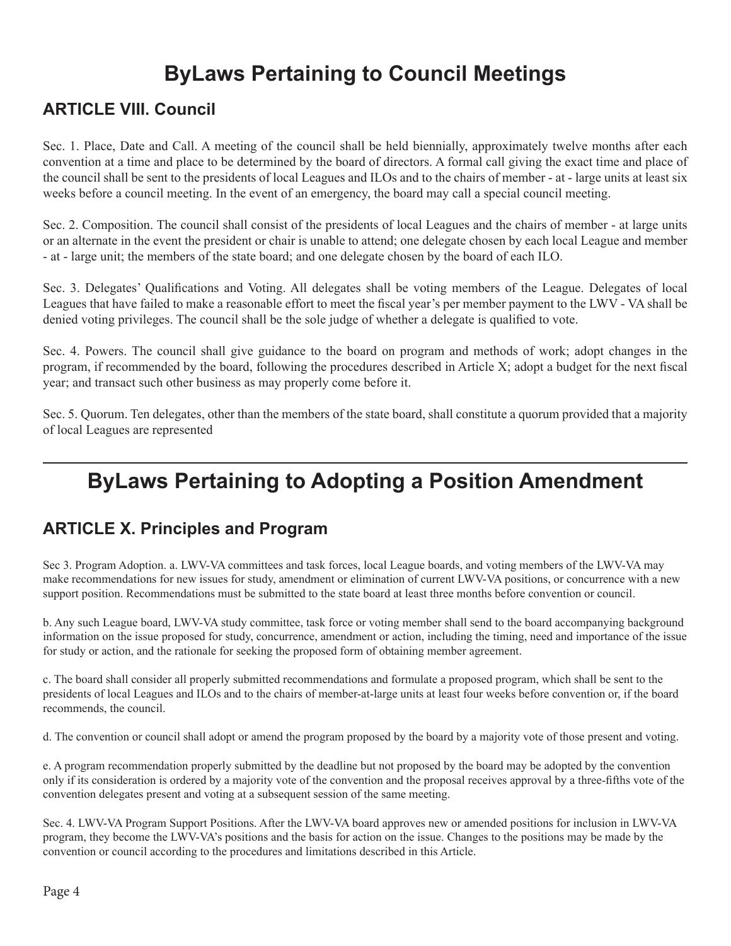# **ByLaws Pertaining to Council Meetings**

## **ARTICLE VIII. Council**

Sec. 1. Place, Date and Call. A meeting of the council shall be held biennially, approximately twelve months after each convention at a time and place to be determined by the board of directors. A formal call giving the exact time and place of the council shall be sent to the presidents of local Leagues and ILOs and to the chairs of member - at - large units at least six weeks before a council meeting. In the event of an emergency, the board may call a special council meeting.

Sec. 2. Composition. The council shall consist of the presidents of local Leagues and the chairs of member - at large units or an alternate in the event the president or chair is unable to attend; one delegate chosen by each local League and member - at - large unit; the members of the state board; and one delegate chosen by the board of each ILO.

Sec. 3. Delegates' Qualifications and Voting. All delegates shall be voting members of the League. Delegates of local Leagues that have failed to make a reasonable effort to meet the fiscal year's per member payment to the LWV - VA shall be denied voting privileges. The council shall be the sole judge of whether a delegate is qualified to vote.

Sec. 4. Powers. The council shall give guidance to the board on program and methods of work; adopt changes in the program, if recommended by the board, following the procedures described in Article X; adopt a budget for the next fiscal year; and transact such other business as may properly come before it.

Sec. 5. Quorum. Ten delegates, other than the members of the state board, shall constitute a quorum provided that a majority of local Leagues are represented

# **ByLaws Pertaining to Adopting a Position Amendment**

## **ARTICLE X. Principles and Program**

Sec 3. Program Adoption. a. LWV-VA committees and task forces, local League boards, and voting members of the LWV-VA may make recommendations for new issues for study, amendment or elimination of current LWV-VA positions, or concurrence with a new support position. Recommendations must be submitted to the state board at least three months before convention or council.

b. Any such League board, LWV-VA study committee, task force or voting member shall send to the board accompanying background information on the issue proposed for study, concurrence, amendment or action, including the timing, need and importance of the issue for study or action, and the rationale for seeking the proposed form of obtaining member agreement.

c. The board shall consider all properly submitted recommendations and formulate a proposed program, which shall be sent to the presidents of local Leagues and ILOs and to the chairs of member-at-large units at least four weeks before convention or, if the board recommends, the council.

d. The convention or council shall adopt or amend the program proposed by the board by a majority vote of those present and voting.

e. A program recommendation properly submitted by the deadline but not proposed by the board may be adopted by the convention only if its consideration is ordered by a majority vote of the convention and the proposal receives approval by a three-fifths vote of the convention delegates present and voting at a subsequent session of the same meeting.

Sec. 4. LWV-VA Program Support Positions. After the LWV-VA board approves new or amended positions for inclusion in LWV-VA program, they become the LWV-VA's positions and the basis for action on the issue. Changes to the positions may be made by the convention or council according to the procedures and limitations described in this Article.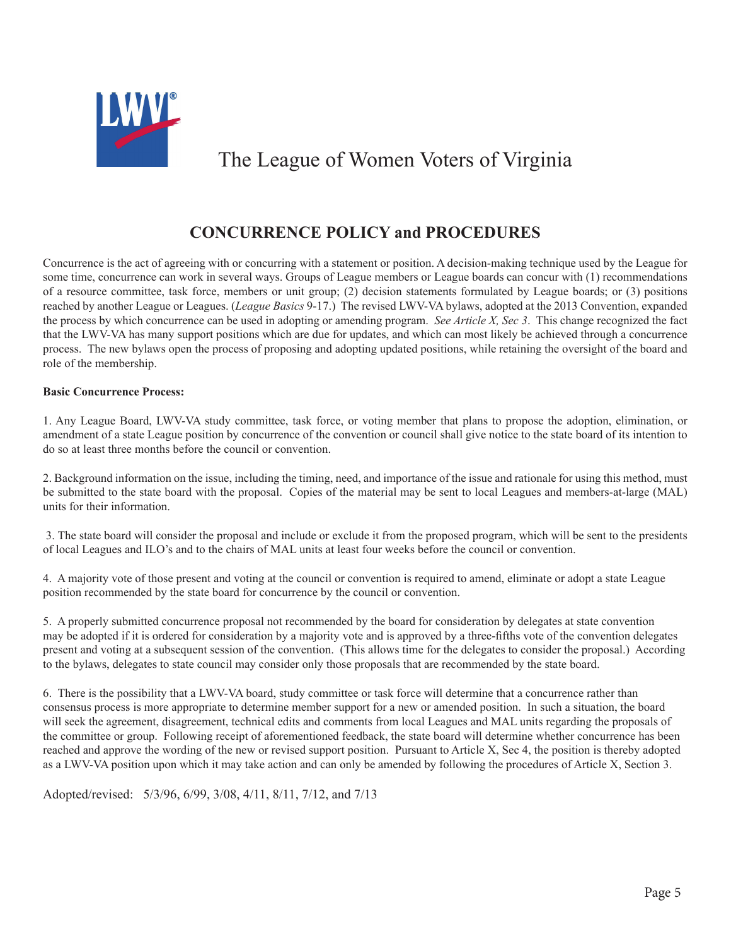

## The League of Women Voters of Virginia

## **CONCURRENCE POLICY and PROCEDURES**

Concurrence is the act of agreeing with or concurring with a statement or position. A decision-making technique used by the League for some time, concurrence can work in several ways. Groups of League members or League boards can concur with (1) recommendations of a resource committee, task force, members or unit group; (2) decision statements formulated by League boards; or (3) positions reached by another League or Leagues. (*League Basics* 9-17.) The revised LWV-VA bylaws, adopted at the 2013 Convention, expanded the process by which concurrence can be used in adopting or amending program. *See Article X, Sec 3*. This change recognized the fact that the LWV-VA has many support positions which are due for updates, and which can most likely be achieved through a concurrence process. The new bylaws open the process of proposing and adopting updated positions, while retaining the oversight of the board and role of the membership.

#### **Basic Concurrence Process:**

1. Any League Board, LWV-VA study committee, task force, or voting member that plans to propose the adoption, elimination, or amendment of a state League position by concurrence of the convention or council shall give notice to the state board of its intention to do so at least three months before the council or convention.

2. Background information on the issue, including the timing, need, and importance of the issue and rationale for using this method, must be submitted to the state board with the proposal. Copies of the material may be sent to local Leagues and members-at-large (MAL) units for their information.

 3. The state board will consider the proposal and include or exclude it from the proposed program, which will be sent to the presidents of local Leagues and ILO's and to the chairs of MAL units at least four weeks before the council or convention.

4. A majority vote of those present and voting at the council or convention is required to amend, eliminate or adopt a state League position recommended by the state board for concurrence by the council or convention.

5. A properly submitted concurrence proposal not recommended by the board for consideration by delegates at state convention may be adopted if it is ordered for consideration by a majority vote and is approved by a three-fifths vote of the convention delegates present and voting at a subsequent session of the convention. (This allows time for the delegates to consider the proposal.) According to the bylaws, delegates to state council may consider only those proposals that are recommended by the state board.

6. There is the possibility that a LWV-VA board, study committee or task force will determine that a concurrence rather than consensus process is more appropriate to determine member support for a new or amended position. In such a situation, the board will seek the agreement, disagreement, technical edits and comments from local Leagues and MAL units regarding the proposals of the committee or group. Following receipt of aforementioned feedback, the state board will determine whether concurrence has been reached and approve the wording of the new or revised support position. Pursuant to Article X, Sec 4, the position is thereby adopted as a LWV-VA position upon which it may take action and can only be amended by following the procedures of Article X, Section 3.

Adopted/revised: 5/3/96, 6/99, 3/08, 4/11, 8/11, 7/12, and 7/13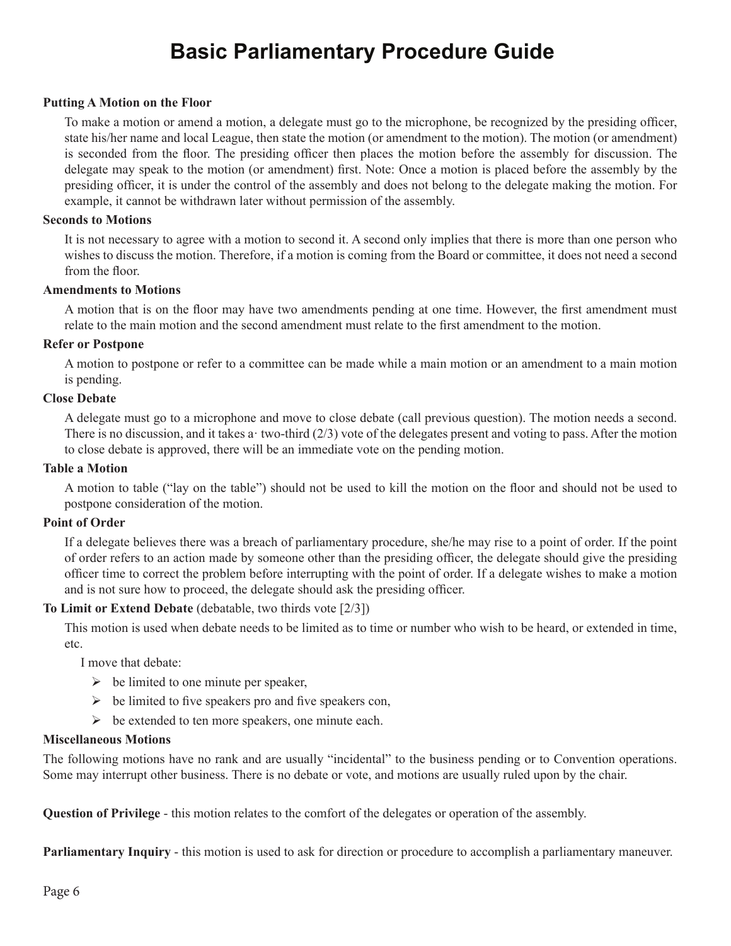# **Basic Parliamentary Procedure Guide**

### **Putting A Motion on the Floor**

To make a motion or amend a motion, a delegate must go to the microphone, be recognized by the presiding officer, state his/her name and local League, then state the motion (or amendment to the motion). The motion (or amendment) is seconded from the floor. The presiding officer then places the motion before the assembly for discussion. The delegate may speak to the motion (or amendment) first. Note: Once a motion is placed before the assembly by the presiding officer, it is under the control of the assembly and does not belong to the delegate making the motion. For example, it cannot be withdrawn later without permission of the assembly.

#### **Seconds to Motions**

It is not necessary to agree with a motion to second it. A second only implies that there is more than one person who wishes to discuss the motion. Therefore, if a motion is coming from the Board or committee, it does not need a second from the floor.

### **Amendments to Motions**

A motion that is on the floor may have two amendments pending at one time. However, the first amendment must relate to the main motion and the second amendment must relate to the first amendment to the motion.

### **Refer or Postpone**

A motion to postpone or refer to a committee can be made while a main motion or an amendment to a main motion is pending.

### **Close Debate**

A delegate must go to a microphone and move to close debate (call previous question). The motion needs a second. There is no discussion, and it takes a two-third  $(2/3)$  vote of the delegates present and voting to pass. After the motion to close debate is approved, there will be an immediate vote on the pending motion.

### **Table a Motion**

A motion to table ("lay on the table") should not be used to kill the motion on the floor and should not be used to postpone consideration of the motion.

#### **Point of Order**

If a delegate believes there was a breach of parliamentary procedure, she/he may rise to a point of order. If the point of order refers to an action made by someone other than the presiding officer, the delegate should give the presiding officer time to correct the problem before interrupting with the point of order. If a delegate wishes to make a motion and is not sure how to proceed, the delegate should ask the presiding officer.

### **To Limit or Extend Debate** (debatable, two thirds vote [2/3])

This motion is used when debate needs to be limited as to time or number who wish to be heard, or extended in time, etc.

I move that debate:

- $\triangleright$  be limited to one minute per speaker,
- $\triangleright$  be limited to five speakers pro and five speakers con,
- $\triangleright$  be extended to ten more speakers, one minute each.

#### **Miscellaneous Motions**

The following motions have no rank and are usually "incidental" to the business pending or to Convention operations. Some may interrupt other business. There is no debate or vote, and motions are usually ruled upon by the chair.

**Question of Privilege** - this motion relates to the comfort of the delegates or operation of the assembly.

**Parliamentary Inquiry** - this motion is used to ask for direction or procedure to accomplish a parliamentary maneuver.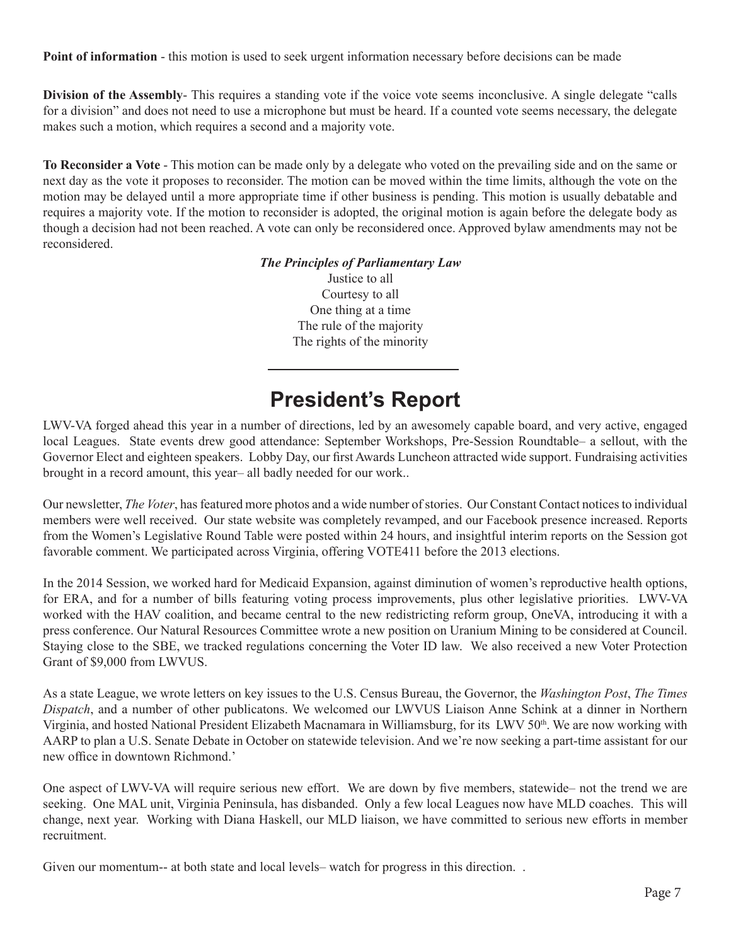**Point of information** - this motion is used to seek urgent information necessary before decisions can be made

**Division of the Assembly-** This requires a standing vote if the voice vote seems inconclusive. A single delegate "calls" for a division" and does not need to use a microphone but must be heard. If a counted vote seems necessary, the delegate makes such a motion, which requires a second and a majority vote.

**To Reconsider a Vote** - This motion can be made only by a delegate who voted on the prevailing side and on the same or next day as the vote it proposes to reconsider. The motion can be moved within the time limits, although the vote on the motion may be delayed until a more appropriate time if other business is pending. This motion is usually debatable and requires a majority vote. If the motion to reconsider is adopted, the original motion is again before the delegate body as though a decision had not been reached. A vote can only be reconsidered once. Approved bylaw amendments may not be reconsidered.

> *The Principles of Parliamentary Law* Justice to all Courtesy to all One thing at a time The rule of the majority The rights of the minority

# **President's Report**

LWV-VA forged ahead this year in a number of directions, led by an awesomely capable board, and very active, engaged local Leagues. State events drew good attendance: September Workshops, Pre-Session Roundtable– a sellout, with the Governor Elect and eighteen speakers. Lobby Day, our first Awards Luncheon attracted wide support. Fundraising activities brought in a record amount, this year– all badly needed for our work..

Our newsletter, *The Voter*, has featured more photos and a wide number of stories. Our Constant Contact notices to individual members were well received. Our state website was completely revamped, and our Facebook presence increased. Reports from the Women's Legislative Round Table were posted within 24 hours, and insightful interim reports on the Session got favorable comment. We participated across Virginia, offering VOTE411 before the 2013 elections.

In the 2014 Session, we worked hard for Medicaid Expansion, against diminution of women's reproductive health options, for ERA, and for a number of bills featuring voting process improvements, plus other legislative priorities. LWV-VA worked with the HAV coalition, and became central to the new redistricting reform group, OneVA, introducing it with a press conference. Our Natural Resources Committee wrote a new position on Uranium Mining to be considered at Council. Staying close to the SBE, we tracked regulations concerning the Voter ID law. We also received a new Voter Protection Grant of \$9,000 from LWVUS.

As a state League, we wrote letters on key issues to the U.S. Census Bureau, the Governor, the *Washington Post*, *The Times Dispatch*, and a number of other publicatons. We welcomed our LWVUS Liaison Anne Schink at a dinner in Northern Virginia, and hosted National President Elizabeth Macnamara in Williamsburg, for its LWV 50th. We are now working with AARP to plan a U.S. Senate Debate in October on statewide television. And we're now seeking a part-time assistant for our new office in downtown Richmond.'

One aspect of LWV-VA will require serious new effort. We are down by five members, statewide– not the trend we are seeking. One MAL unit, Virginia Peninsula, has disbanded. Only a few local Leagues now have MLD coaches. This will change, next year. Working with Diana Haskell, our MLD liaison, we have committed to serious new efforts in member recruitment.

Given our momentum-- at both state and local levels- watch for progress in this direction.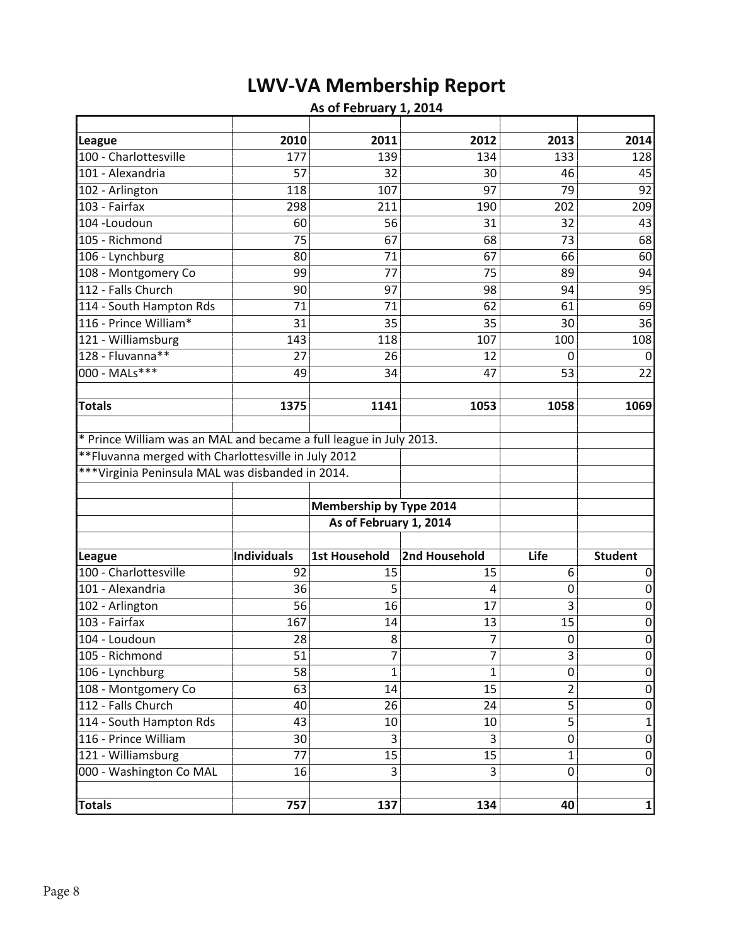# **LWV-VA Membership Report**

### **As of February 1, 2014**

| League                                                             | 2010        | 2011                    | 2012          | 2013           | 2014             |
|--------------------------------------------------------------------|-------------|-------------------------|---------------|----------------|------------------|
| 100 - Charlottesville                                              | 177         | 139                     | 134           | 133            | 128              |
| 101 - Alexandria                                                   | 57          | 32                      | 30            | 46             | 45               |
| 102 - Arlington                                                    | 118         | 107                     | 97            | 79             | 92               |
| 103 - Fairfax                                                      | 298         | 211                     | 190           | 202            | 209              |
| 104 - Loudoun                                                      | 60          | 56                      | 31            | 32             | 43               |
| 105 - Richmond                                                     | 75          | 67                      | 68            | 73             | 68               |
| 106 - Lynchburg                                                    | 80          | 71                      | 67            | 66             | 60               |
| 108 - Montgomery Co                                                | 99          | 77                      | 75            | 89             | 94               |
| 112 - Falls Church                                                 | 90          | 97                      | 98            | 94             | 95               |
| 114 - South Hampton Rds                                            | 71          | 71                      | 62            | 61             | 69               |
| 116 - Prince William*                                              | 31          | 35                      | 35            | 30             | 36               |
| 121 - Williamsburg                                                 | 143         | 118                     | 107           | 100            | 108              |
| 128 - Fluvanna**                                                   | 27          | 26                      | 12            | 0              | 0                |
| 000 - MALs***                                                      | 49          | 34                      | 47            | 53             | 22               |
|                                                                    |             |                         |               |                |                  |
| <b>Totals</b>                                                      | 1375        | 1141                    | 1053          | 1058           | 1069             |
| * Prince William was an MAL and became a full league in July 2013. |             |                         |               |                |                  |
| ** Fluvanna merged with Charlottesville in July 2012               |             |                         |               |                |                  |
| ***Virginia Peninsula MAL was disbanded in 2014.                   |             |                         |               |                |                  |
|                                                                    |             |                         |               |                |                  |
|                                                                    |             | Membership by Type 2014 |               |                |                  |
|                                                                    |             | As of February 1, 2014  |               |                |                  |
|                                                                    |             |                         |               |                |                  |
| League                                                             | Individuals | <b>1st Household</b>    | 2nd Household | Life           | <b>Student</b>   |
| 100 - Charlottesville                                              | 92          | 15                      | 15            | 6              | 0                |
| 101 - Alexandria                                                   | 36          | 5                       | 4             | 0              | 0                |
| 102 - Arlington                                                    | 56          | 16                      | 17            | 3              | $\boldsymbol{0}$ |
| 103 - Fairfax                                                      | 167         | 14                      | 13            | 15             | 0                |
| 104 - Loudoun                                                      | 28          | 8                       | 7             | $\mathbf 0$    | 0                |
| 105 - Richmond                                                     | 51          | 7                       | 7             | 3              | $\boldsymbol{0}$ |
| 106 - Lynchburg                                                    | 58          | 1                       | 1             | 0              | $\overline{0}$   |
| 108 - Montgomery Co                                                | 63          | 14                      | 15            | $\overline{2}$ | 0                |
| 112 - Falls Church                                                 | 40          | 26                      | 24            | 5              | $\boldsymbol{0}$ |
| 114 - South Hampton Rds                                            | 43          | 10                      | 10            | 5              | $\mathbf{1}$     |
| 116 - Prince William                                               | 30          | 3                       | 3             | 0              | 0                |
| 121 - Williamsburg                                                 | 77          | 15                      | 15            | $\mathbf{1}$   | $\boldsymbol{0}$ |
| 000 - Washington Co MAL                                            | 16          | 3                       | 3             | $\mathbf 0$    | $\overline{0}$   |
|                                                                    |             |                         |               |                |                  |
| <b>Totals</b>                                                      | 757         | 137                     | 134           | 40             | $\mathbf 1$      |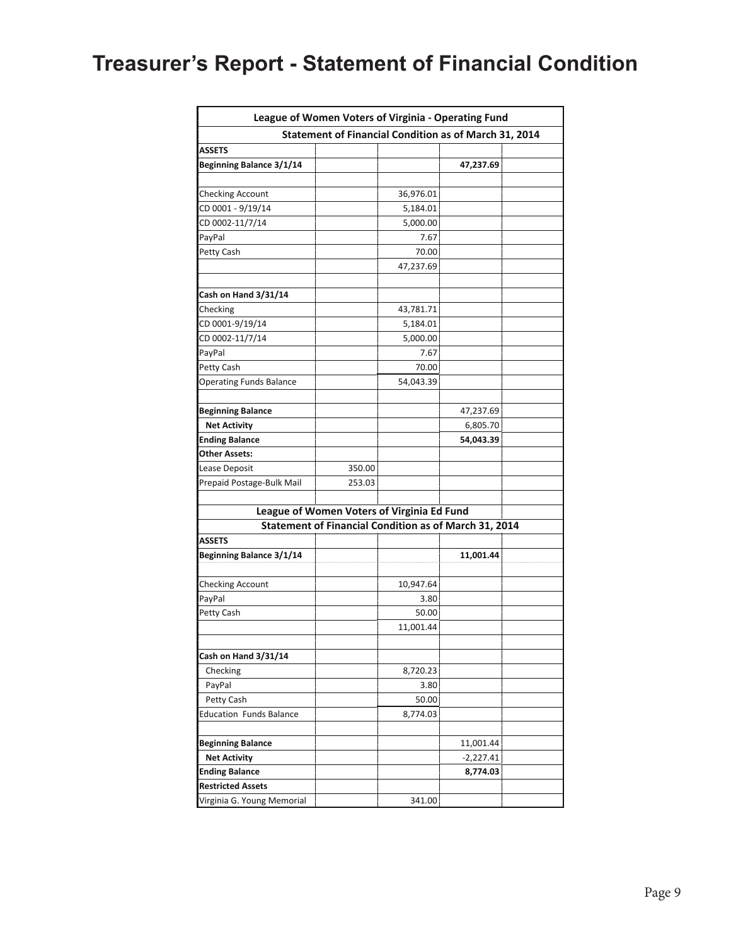# **Treasurer's Report - Statement of Financial Condition**

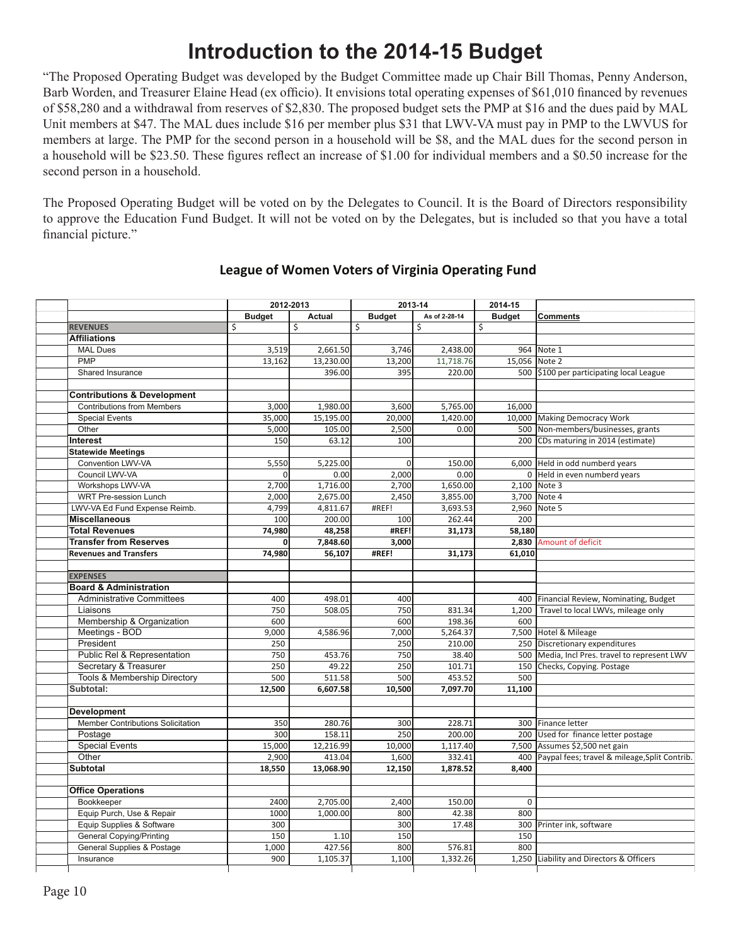# **Introduction to the 2014-15 Budget**

"The Proposed Operating Budget was developed by the Budget Committee made up Chair Bill Thomas, Penny Anderson, Barb Worden, and Treasurer Elaine Head (ex officio). It envisions total operating expenses of \$61,010 financed by revenues of \$58,280 and a withdrawal from reserves of \$2,830. The proposed budget sets the PMP at \$16 and the dues paid by MAL Unit members at \$47. The MAL dues include \$16 per member plus \$31 that LWV-VA must pay in PMP to the LWVUS for members at large. The PMP for the second person in a household will be \$8, and the MAL dues for the second person in a household will be \$23.50. These figures reflect an increase of \$1.00 for individual members and a \$0.50 increase for the second person in a household.

The Proposed Operating Budget will be voted on by the Delegates to Council. It is the Board of Directors responsibility to approve the Education Fund Budget. It will not be voted on by the Delegates, but is included so that you have a total financial picture."

|                                         |               | 2012-2013     |                | 2013-14       | 2014-15       |                                                   |
|-----------------------------------------|---------------|---------------|----------------|---------------|---------------|---------------------------------------------------|
|                                         | <b>Budget</b> | <b>Actual</b> | <b>Budget</b>  | As of 2-28-14 | <b>Budget</b> | <b>Comments</b>                                   |
| <b>REVENUES</b>                         | \$            | \$            | \$             | \$            | \$            |                                                   |
| <b>Affiliations</b>                     |               |               |                |               |               |                                                   |
| <b>MAL Dues</b>                         | 3,519         | 2,661.50      | 3,746          | 2,438.00      |               | 964 Note 1                                        |
| <b>PMP</b>                              | 13,162        | 13,230.00     | 13,200         | 11,718.76     | 15,056 Note 2 |                                                   |
| Shared Insurance                        |               | 396.00        | 395            | 220.00        |               | 500 \$100 per participating local League          |
|                                         |               |               |                |               |               |                                                   |
| <b>Contributions &amp; Development</b>  |               |               |                |               |               |                                                   |
| <b>Contributions from Members</b>       | 3,000         | 1,980.00      | 3,600          | 5,765.00      | 16,000        |                                                   |
| <b>Special Events</b>                   | 35,000        | 15,195.00     | 20,000         | 1,420.00      |               | 10,000 Making Democracy Work                      |
| Other                                   | 5,000         | 105.00        | 2,500          | 0.00          |               | 500 Non-members/businesses, grants                |
| Interest                                | 150           | 63.12         | 100            |               |               | 200 CDs maturing in 2014 (estimate)               |
| <b>Statewide Meetings</b>               |               |               |                |               |               |                                                   |
| Convention LWV-VA                       | 5,550         | 5,225.00      | $\overline{0}$ | 150.00        |               | 6,000 Held in odd numberd years                   |
| Council LWV-VA                          | $\Omega$      | 0.00          | 2,000          | 0.00          |               | 0 Held in even numberd years                      |
| Workshops LWV-VA                        | 2,700         | 1,716.00      | 2,700          | 1,650.00      |               | 2,100 Note 3                                      |
| WRT Pre-session Lunch                   | 2,000         | 2,675.00      | 2,450          | 3,855.00      |               | 3,700 Note 4                                      |
| LWV-VA Ed Fund Expense Reimb.           | 4,799         | 4,811.67      | #REF!          | 3,693.53      |               | 2,960 Note 5                                      |
| <b>Miscellaneous</b>                    | 100           | 200.00        | 100            | 262.44        | 200           |                                                   |
| <b>Total Revenues</b>                   | 74,980        | 48,258        | #REF!          | 31,173        | 58,180        |                                                   |
| <b>Transfer from Reserves</b>           | 0             | 7,848.60      | 3,000          |               |               | 2,830 Amount of deficit                           |
| <b>Revenues and Transfers</b>           | 74,980        | 56,107        | #REF!          | 31,173        | 61,010        |                                                   |
|                                         |               |               |                |               |               |                                                   |
| <b>EXPENSES</b>                         |               |               |                |               |               |                                                   |
| <b>Board &amp; Administration</b>       |               |               |                |               |               |                                                   |
| <b>Administrative Committees</b>        | 400           | 498.01        | 400            |               |               | 400 Financial Review, Nominating, Budget          |
| Liaisons                                | 750           | 508.05        | 750            | 831.34        | 1,200         | Travel to local LWVs, mileage only                |
| Membership & Organization               | 600           |               | 600            | 198.36        | 600           |                                                   |
| Meetings - BOD                          | 9,000         | 4,586.96      | 7,000          | 5,264.37      |               | 7,500 Hotel & Mileage                             |
| President                               | 250           |               | 250            | 210.00        |               | 250 Discretionary expenditures                    |
| Public Rel & Representation             | 750           | 453.76        | 750            | 38.40         | 500           | Media, Incl Pres. travel to represent LWV         |
| Secretary & Treasurer                   | 250           | 49.22         | 250            | 101.71        |               | 150 Checks, Copying. Postage                      |
| <b>Tools &amp; Membership Directory</b> | 500           | 511.58        | 500            | 453.52        | 500           |                                                   |
| Subtotal:                               | 12,500        | 6,607.58      | 10,500         | 7,097.70      | 11,100        |                                                   |
|                                         |               |               |                |               |               |                                                   |
| Development                             |               |               |                |               |               |                                                   |
| Member Contributions Solicitation       | 350           | 280.76        | 300            | 228.71        |               | 300 Finance letter                                |
| Postage                                 | 300           | 158.11        | 250            | 200.00        |               | 200 Used for finance letter postage               |
| <b>Special Events</b>                   | 15,000        | 12,216.99     | 10,000         | 1,117.40      |               | 7,500 Assumes \$2,500 net gain                    |
| Other                                   | 2,900         | 413.04        | 1,600          | 332.41        |               | 400 Paypal fees; travel & mileage, Split Contrib. |
| <b>Subtotal</b>                         | 18,550        | 13,068.90     | 12,150         | 1,878.52      | 8.400         |                                                   |
|                                         |               |               |                |               |               |                                                   |
| <b>Office Operations</b>                |               |               |                |               |               |                                                   |
| Bookkeeper                              | 2400          | 2,705.00      | 2,400          | 150.00        | $\mathbf 0$   |                                                   |
| Equip Purch, Use & Repair               | 1000          | 1,000.00      | 800            | 42.38         | 800           |                                                   |
| Equip Supplies & Software               | 300           |               | 300            | 17.48         |               | 300 Printer ink, software                         |
| <b>General Copying/Printing</b>         | 150           | 1.10          | 150            |               | 150           |                                                   |
| General Supplies & Postage              | 1,000         | 427.56        | 800            | 576.81        | 800           |                                                   |
| Insurance                               | 900           | 1,105.37      | 1,100          | 1,332.26      |               | 1,250 Liability and Directors & Officers          |
|                                         |               |               |                |               |               |                                                   |

### **League of Women Voters of Virginia Operating Fund**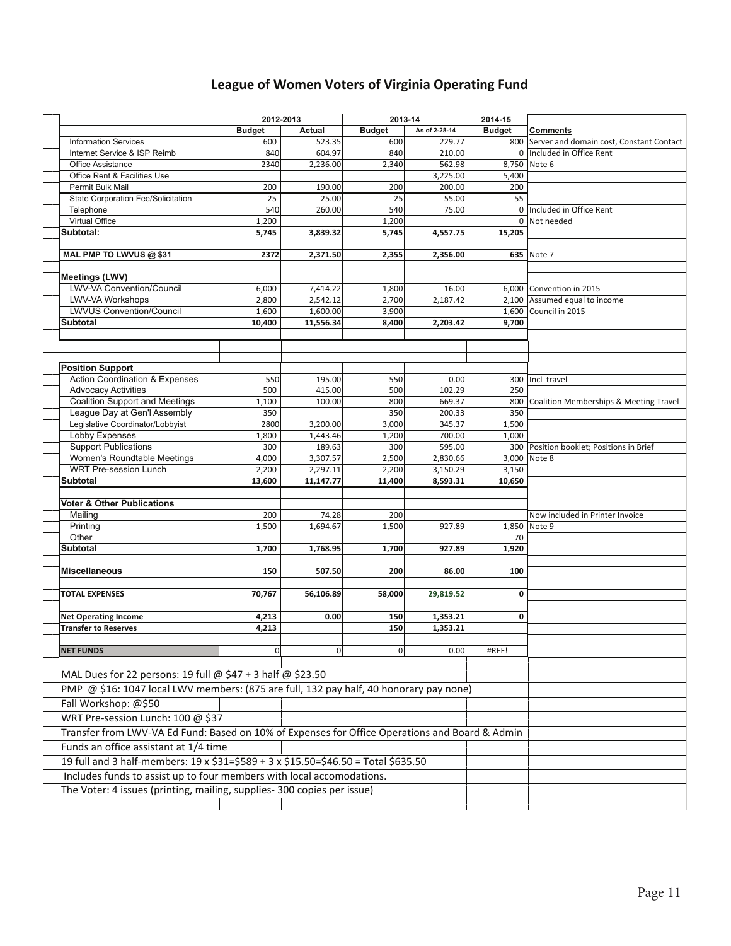### **League of Women Voters of Virginia Operating Fund**

|                                                                                                | 2012-2013<br>2013-14 |           |               | 2014-15       |               |                                              |
|------------------------------------------------------------------------------------------------|----------------------|-----------|---------------|---------------|---------------|----------------------------------------------|
|                                                                                                | <b>Budget</b>        | Actual    | <b>Budget</b> | As of 2-28-14 | <b>Budget</b> | <b>Comments</b>                              |
| <b>Information Services</b>                                                                    | 600                  | 523.35    | 600           | 229.77        |               | 800 Server and domain cost, Constant Contact |
| Internet Service & ISP Reimb                                                                   | 840                  | 604.97    | 840           | 210.00        |               | 0 Included in Office Rent                    |
| Office Assistance                                                                              | 2340                 | 2,236.00  | 2,340         | 562.98        |               | 8,750 Note 6                                 |
| Office Rent & Facilities Use                                                                   |                      |           |               | 3,225.00      | 5,400         |                                              |
| Permit Bulk Mail                                                                               | 200                  | 190.00    | 200           | 200.00        | 200           |                                              |
| State Corporation Fee/Solicitation                                                             | 25                   | 25.00     | 25            | 55.00         | 55            |                                              |
| Telephone                                                                                      | 540                  | 260.00    | 540           | 75.00         |               | 0   Included in Office Rent                  |
| Virtual Office                                                                                 | 1,200                |           | 1,200         |               |               | 0   Not needed                               |
| Subtotal:                                                                                      | 5,745                | 3,839.32  | 5,745         | 4,557.75      | 15,205        |                                              |
|                                                                                                |                      |           |               |               |               |                                              |
| MAL PMP TO LWVUS @ \$31                                                                        | 2372                 | 2,371.50  | 2,355         | 2,356.00      |               | 635 Note 7                                   |
| <b>Meetings (LWV)</b>                                                                          |                      |           |               |               |               |                                              |
| LWV-VA Convention/Council                                                                      | 6,000                | 7,414.22  | 1,800         | 16.00         |               | 6,000 Convention in 2015                     |
| LWV-VA Workshops                                                                               | 2,800                | 2,542.12  | 2,700         | 2,187.42      |               | 2,100 Assumed equal to income                |
| <b>LWVUS Convention/Council</b>                                                                | 1,600                | 1,600.00  | 3,900         |               |               | 1,600 Council in 2015                        |
| <b>Subtotal</b>                                                                                | 10,400               | 11,556.34 | 8,400         | 2,203.42      | 9,700         |                                              |
|                                                                                                |                      |           |               |               |               |                                              |
|                                                                                                |                      |           |               |               |               |                                              |
|                                                                                                |                      |           |               |               |               |                                              |
| <b>Position Support</b>                                                                        |                      |           |               |               |               |                                              |
| <b>Action Coordination &amp; Expenses</b>                                                      | 550                  | 195.00    | 550           | 0.00          |               | 300 Incl travel                              |
| <b>Advocacy Activities</b>                                                                     | 500                  | 415.00    | 500           | 102.29        | 250           |                                              |
| <b>Coalition Support and Meetings</b>                                                          | 1,100                | 100.00    | 800           | 669.37        | 800           | Coalition Memberships & Meeting Travel       |
| League Day at Gen'l Assembly                                                                   | 350                  |           | 350           | 200.33        | 350           |                                              |
| Legislative Coordinator/Lobbyist                                                               | 2800                 | 3,200.00  | 3,000         | 345.37        | 1,500         |                                              |
| Lobby Expenses                                                                                 | 1,800                | 1,443.46  | 1,200         | 700.00        | 1,000         |                                              |
| <b>Support Publications</b>                                                                    | 300                  | 189.63    | 300           | 595.00        |               | 300 Position booklet; Positions in Brief     |
| Women's Roundtable Meetings                                                                    | 4,000                | 3,307.57  | 2,500         | 2,830.66      |               | 3,000 Note 8                                 |
| <b>WRT Pre-session Lunch</b>                                                                   | 2,200                | 2,297.11  | 2,200         | 3,150.29      | 3,150         |                                              |
| <b>Subtotal</b>                                                                                | 13,600               | 11,147.77 | 11,400        | 8,593.31      | 10,650        |                                              |
|                                                                                                |                      |           |               |               |               |                                              |
| <b>Voter &amp; Other Publications</b>                                                          |                      |           |               |               |               |                                              |
| Mailing                                                                                        | 200                  | 74.28     | 200           |               |               | Now included in Printer Invoice              |
| Printing                                                                                       | 1,500                | 1,694.67  | 1,500         | 927.89        |               | 1,850 Note 9                                 |
| Other                                                                                          |                      |           |               |               | 70            |                                              |
| Subtotal                                                                                       | 1,700                | 1,768.95  | 1,700         | 927.89        | 1,920         |                                              |
| <b>Miscellaneous</b>                                                                           | 150                  | 507.50    | 200           | 86.00         | 100           |                                              |
|                                                                                                |                      |           |               |               |               |                                              |
| <b>TOTAL EXPENSES</b>                                                                          | 70,767               | 56,106.89 | 58,000        | 29,819.52     | 0             |                                              |
|                                                                                                |                      |           |               |               |               |                                              |
| <b>Net Operating Income</b>                                                                    | 4,213                | 0.00      | 150           | 1,353.21      | 0             |                                              |
| <b>Transfer to Reserves</b>                                                                    | 4,213                |           | 150           | 1,353.21      |               |                                              |
|                                                                                                |                      |           |               |               |               |                                              |
| <b>NET FUNDS</b>                                                                               | 0                    | 0         | 0             | 0.00          | #REF!         |                                              |
|                                                                                                |                      |           |               |               |               |                                              |
| MAL Dues for 22 persons: 19 full @ \$47 + 3 half @ \$23.50                                     |                      |           |               |               |               |                                              |
|                                                                                                |                      |           |               |               |               |                                              |
| PMP @ \$16: 1047 local LWV members: (875 are full, 132 pay half, 40 honorary pay none)         |                      |           |               |               |               |                                              |
| Fall Workshop: @\$50                                                                           |                      |           |               |               |               |                                              |
| WRT Pre-session Lunch: 100 @ \$37                                                              |                      |           |               |               |               |                                              |
| Transfer from LWV-VA Ed Fund: Based on 10% of Expenses for Office Operations and Board & Admin |                      |           |               |               |               |                                              |
| Funds an office assistant at 1/4 time                                                          |                      |           |               |               |               |                                              |
|                                                                                                |                      |           |               |               |               |                                              |
| 19 full and 3 half-members: 19 x \$31=\$589 + 3 x \$15.50=\$46.50 = Total \$635.50             |                      |           |               |               |               |                                              |
| Includes funds to assist up to four members with local accomodations.                          |                      |           |               |               |               |                                              |
| The Voter: 4 issues (printing, mailing, supplies- 300 copies per issue)                        |                      |           |               |               |               |                                              |
|                                                                                                |                      |           |               |               |               |                                              |
|                                                                                                |                      |           |               |               |               |                                              |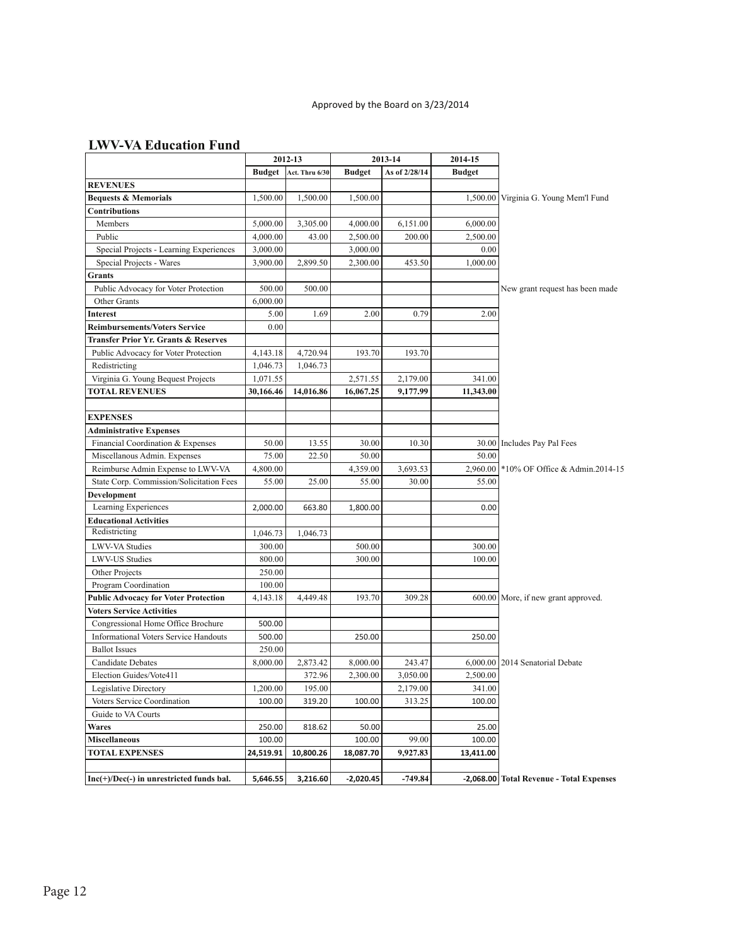### **LWV-VA Education Fund**

|                                                 |            | 2012-13                 | 2013-14       |               | 2014-15       |                                          |
|-------------------------------------------------|------------|-------------------------|---------------|---------------|---------------|------------------------------------------|
|                                                 |            | Budget   Act. Thru 6/30 | <b>Budget</b> | As of 2/28/14 | <b>Budget</b> |                                          |
| <b>REVENUES</b>                                 |            |                         |               |               |               |                                          |
| <b>Bequests &amp; Memorials</b>                 | 1,500.00   | 1,500.00                | 1,500.00      |               |               | 1,500.00 Virginia G. Young Mem'l Fund    |
| <b>Contributions</b>                            |            |                         |               |               |               |                                          |
| Members                                         | 5,000.00   | 3,305.00                | 4,000.00      | 6,151.00      | 6,000.00      |                                          |
| Public                                          | 4,000.00   | 43.00                   | 2,500.00      | 200.00        | 2,500.00      |                                          |
| Special Projects - Learning Experiences         | 3,000.00   |                         | 3,000.00      |               | 0.00          |                                          |
| Special Projects - Wares                        | 3,900.00   | 2,899.50                | 2,300.00      | 453.50        | 1,000.00      |                                          |
| Grants                                          |            |                         |               |               |               |                                          |
| Public Advocacy for Voter Protection            | 500.00     | 500.00                  |               |               |               | New grant request has been made          |
| Other Grants                                    | 6,000.00   |                         |               |               |               |                                          |
| <b>Interest</b>                                 | 5.00       | 1.69                    | 2.00          | 0.79          | 2.00          |                                          |
| <b>Reimbursements/Voters Service</b>            | 0.00       |                         |               |               |               |                                          |
| <b>Transfer Prior Yr. Grants &amp; Reserves</b> |            |                         |               |               |               |                                          |
| Public Advocacy for Voter Protection            | 4, 143. 18 | 4,720.94                | 193.70        | 193.70        |               |                                          |
| Redistricting                                   | 1,046.73   | 1,046.73                |               |               |               |                                          |
| Virginia G. Young Bequest Projects              | 1,071.55   |                         | 2,571.55      | 2,179.00      | 341.00        |                                          |
| <b>TOTAL REVENUES</b>                           | 30,166.46  | 14,016.86               | 16,067.25     | 9,177.99      | 11,343.00     |                                          |
|                                                 |            |                         |               |               |               |                                          |
| <b>EXPENSES</b>                                 |            |                         |               |               |               |                                          |
| <b>Administrative Expenses</b>                  |            |                         |               |               |               |                                          |
| Financial Coordination & Expenses               | 50.00      | 13.55                   | 30.00         | 10.30         |               | 30.00 Includes Pay Pal Fees              |
| Miscellanous Admin. Expenses                    | 75.00      | 22.50                   | 50.00         |               | 50.00         |                                          |
| Reimburse Admin Expense to LWV-VA               | 4,800.00   |                         | 4,359.00      | 3,693.53      | 2,960.00      | *10% OF Office & Admin.2014-15           |
| State Corp. Commission/Solicitation Fees        | 55.00      | 25.00                   | 55.00         | 30.00         | 55.00         |                                          |
| Development                                     |            |                         |               |               |               |                                          |
| Learning Experiences                            | 2,000.00   | 663.80                  | 1,800.00      |               | 0.00          |                                          |
| <b>Educational Activities</b>                   |            |                         |               |               |               |                                          |
| Redistricting                                   | 1,046.73   | 1,046.73                |               |               |               |                                          |
| LWV-VA Studies                                  | 300.00     |                         | 500.00        |               | 300.00        |                                          |
| <b>LWV-US Studies</b>                           | 800.00     |                         | 300.00        |               | 100.00        |                                          |
| Other Projects                                  | 250.00     |                         |               |               |               |                                          |
| Program Coordination                            | 100.00     |                         |               |               |               |                                          |
| <b>Public Advocacy for Voter Protection</b>     | 4,143.18   | 4,449.48                | 193.70        | 309.28        |               | 600.00 More, if new grant approved.      |
| <b>Voters Service Activities</b>                |            |                         |               |               |               |                                          |
| Congressional Home Office Brochure              | 500.00     |                         |               |               |               |                                          |
| <b>Informational Voters Service Handouts</b>    | 500.00     |                         | 250.00        |               | 250.00        |                                          |
| <b>Ballot</b> Issues                            | 250.00     |                         |               |               |               |                                          |
| <b>Candidate Debates</b>                        | 8,000.00   | 2,873.42                | 8,000.00      | 243.47        |               | 6,000.00   2014 Senatorial Debate        |
| Election Guides/Vote411                         |            | 372.96                  | 2,300.00      | 3,050.00      | 2,500.00      |                                          |
| Legislative Directory                           | 1,200.00   | 195.00                  |               | 2,179.00      | 341.00        |                                          |
| Voters Service Coordination                     | 100.00     | 319.20                  | 100.00        | 313.25        | 100.00        |                                          |
| Guide to VA Courts                              |            |                         |               |               |               |                                          |
| <b>Wares</b>                                    | 250.00     | 818.62                  | 50.00         |               | 25.00         |                                          |
| <b>Miscellaneous</b>                            | 100.00     |                         | 100.00        | 99.00         | 100.00        |                                          |
| <b>TOTAL EXPENSES</b>                           | 24,519.91  | 10,800.26               | 18,087.70     | 9,927.83      | 13,411.00     |                                          |
|                                                 |            |                         |               |               |               |                                          |
| Inc(+)/Dec(-) in unrestricted funds bal.        | 5,646.55   | 3,216.60                | $-2,020.45$   | $-749.84$     |               | -2,068.00 Total Revenue - Total Expenses |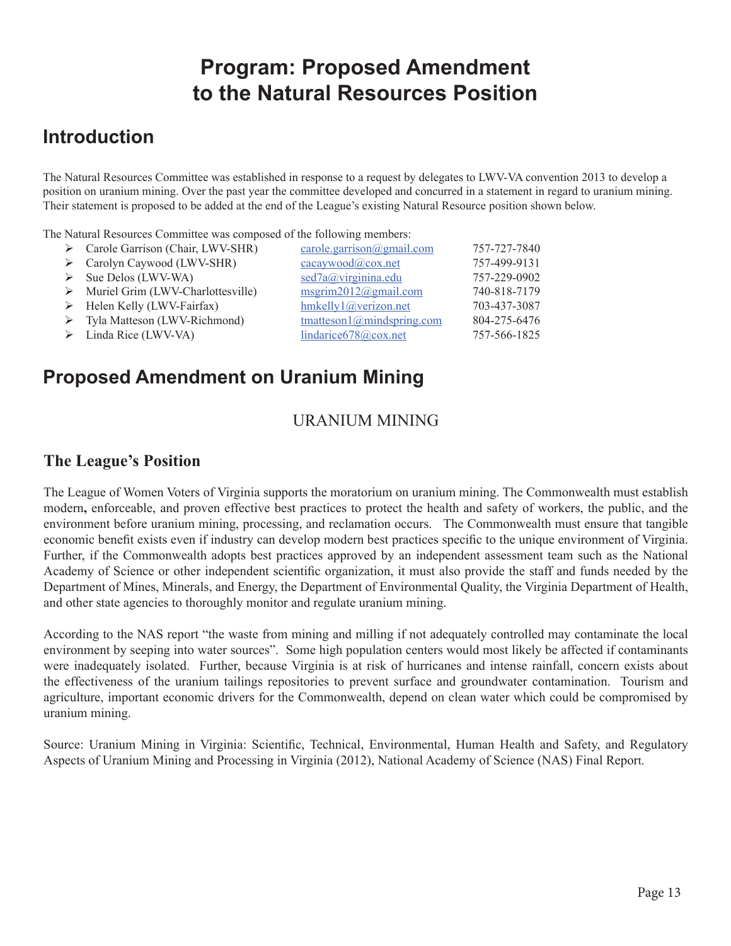# **Program: Proposed Amendment to the Natural Resources Position**

## **Introduction**

The Natural Resources Committee was established in response to a request by delegates to LWV-VA convention 2013 to develop a position on uranium mining. Over the past year the committee developed and concurred in a statement in regard to uranium mining. Their statement is proposed to be added at the end of the League's existing Natural Resource position shown below.

The Natural Resources Committee was composed of the following members:

| $\triangleright$ Carole Garrison (Chair, LWV-SHR) | $\frac{\text{cancel.} \cdot \text{garrison}(\text{logmail.com})}{\text{logmail.com}}$ | 757-727-7840 |
|---------------------------------------------------|---------------------------------------------------------------------------------------|--------------|
| > Carolyn Caywood (LWV-SHR)                       | cacaywood@cov.net                                                                     | 757-499-9131 |
| $\triangleright$ Sue Delos (LWV-WA)               | sed7a@virginina.edu                                                                   | 757-229-0902 |
| Muriel Grim (LWV-Charlottesville)                 | $m$ sgrim2012@gmail.com                                                               | 740-818-7179 |
| $\triangleright$ Helen Kelly (LWV-Fairfax)        | hmkelly1@verizon.net                                                                  | 703-437-3087 |
| > Tyla Matteson (LWV-Richmond)                    | $t$ matteson1@mindspring.com                                                          | 804-275-6476 |
| $\triangleright$ Linda Rice (LWV-VA)              | lindarice678@cox.net                                                                  | 757-566-1825 |
|                                                   |                                                                                       |              |

## **Proposed Amendment on Uranium Mining**

## URANIUM MINING

### **The League's Position**

The League of Women Voters of Virginia supports the moratorium on uranium mining. The Commonwealth must establish modern**,** enforceable, and proven effective best practices to protect the health and safety of workers, the public, and the environment before uranium mining, processing, and reclamation occurs. The Commonwealth must ensure that tangible economic benefit exists even if industry can develop modern best practices specific to the unique environment of Virginia. Further, if the Commonwealth adopts best practices approved by an independent assessment team such as the National Academy of Science or other independent scientific organization, it must also provide the staff and funds needed by the Department of Mines, Minerals, and Energy, the Department of Environmental Quality, the Virginia Department of Health, and other state agencies to thoroughly monitor and regulate uranium mining.

According to the NAS report "the waste from mining and milling if not adequately controlled may contaminate the local environment by seeping into water sources". Some high population centers would most likely be affected if contaminants were inadequately isolated. Further, because Virginia is at risk of hurricanes and intense rainfall, concern exists about the effectiveness of the uranium tailings repositories to prevent surface and groundwater contamination. Tourism and agriculture, important economic drivers for the Commonwealth, depend on clean water which could be compromised by uranium mining.

Source: Uranium Mining in Virginia: Scientific, Technical, Environmental, Human Health and Safety, and Regulatory Aspects of Uranium Mining and Processing in Virginia (2012), National Academy of Science (NAS) Final Report.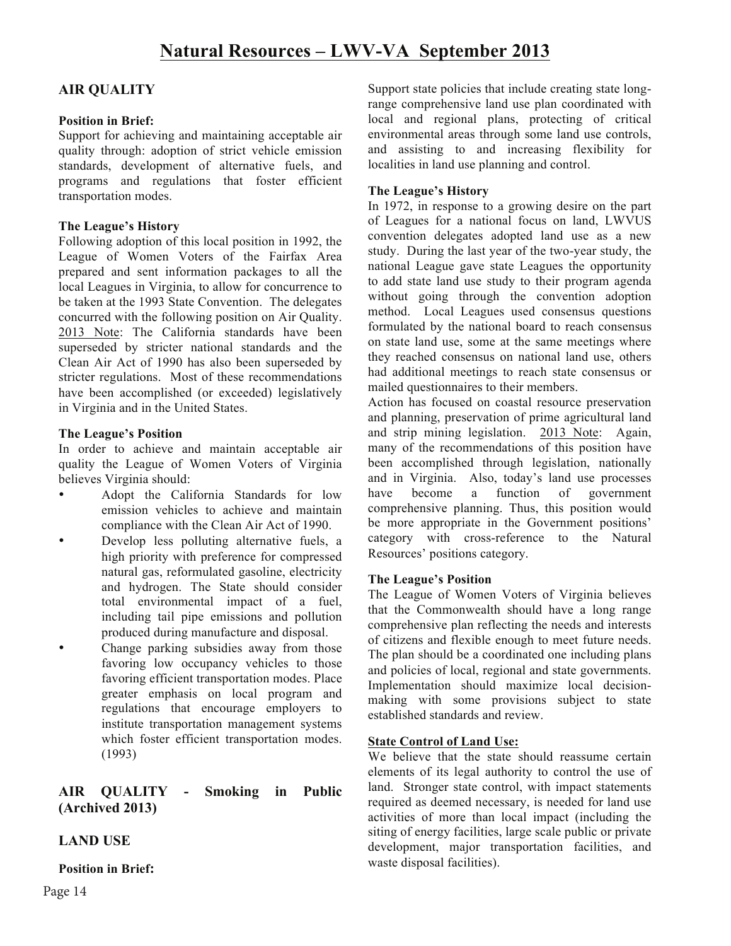### **AIR QUALITY**

### **Position in Brief:**

Support for achieving and maintaining acceptable air quality through: adoption of strict vehicle emission standards, development of alternative fuels, and programs and regulations that foster efficient transportation modes.

### **The League's History**

Following adoption of this local position in 1992, the League of Women Voters of the Fairfax Area prepared and sent information packages to all the local Leagues in Virginia, to allow for concurrence to be taken at the 1993 State Convention. The delegates concurred with the following position on Air Quality. 2013 Note: The California standards have been superseded by stricter national standards and the Clean Air Act of 1990 has also been superseded by stricter regulations. Most of these recommendations have been accomplished (or exceeded) legislatively in Virginia and in the United States.

### **The League's Position**

In order to achieve and maintain acceptable air quality the League of Women Voters of Virginia believes Virginia should:

- Adopt the California Standards for low emission vehicles to achieve and maintain compliance with the Clean Air Act of 1990.
- Develop less polluting alternative fuels, a high priority with preference for compressed natural gas, reformulated gasoline, electricity and hydrogen. The State should consider total environmental impact of a fuel, including tail pipe emissions and pollution produced during manufacture and disposal.
- Change parking subsidies away from those favoring low occupancy vehicles to those favoring efficient transportation modes. Place greater emphasis on local program and regulations that encourage employers to institute transportation management systems which foster efficient transportation modes. (1993)

### **AIR QUALITY - Smoking in Public (Archived 2013)**

### **LAND USE**

**Position in Brief:**

Support state policies that include creating state longrange comprehensive land use plan coordinated with local and regional plans, protecting of critical environmental areas through some land use controls, and assisting to and increasing flexibility for localities in land use planning and control.

### **The League's History**

In 1972, in response to a growing desire on the part of Leagues for a national focus on land, LWVUS convention delegates adopted land use as a new study. During the last year of the two-year study, the national League gave state Leagues the opportunity to add state land use study to their program agenda without going through the convention adoption method. Local Leagues used consensus questions formulated by the national board to reach consensus on state land use, some at the same meetings where they reached consensus on national land use, others had additional meetings to reach state consensus or mailed questionnaires to their members.

Action has focused on coastal resource preservation and planning, preservation of prime agricultural land and strip mining legislation. 2013 Note: Again, many of the recommendations of this position have been accomplished through legislation, nationally and in Virginia. Also, today's land use processes have become a function of government comprehensive planning. Thus, this position would be more appropriate in the Government positions' category with cross-reference to the Natural Resources' positions category.

### **The League's Position**

The League of Women Voters of Virginia believes that the Commonwealth should have a long range comprehensive plan reflecting the needs and interests of citizens and flexible enough to meet future needs. The plan should be a coordinated one including plans and policies of local, regional and state governments. Implementation should maximize local decisionmaking with some provisions subject to state established standards and review.

### **State Control of Land Use:**

We believe that the state should reassume certain elements of its legal authority to control the use of land. Stronger state control, with impact statements required as deemed necessary, is needed for land use activities of more than local impact (including the siting of energy facilities, large scale public or private development, major transportation facilities, and waste disposal facilities).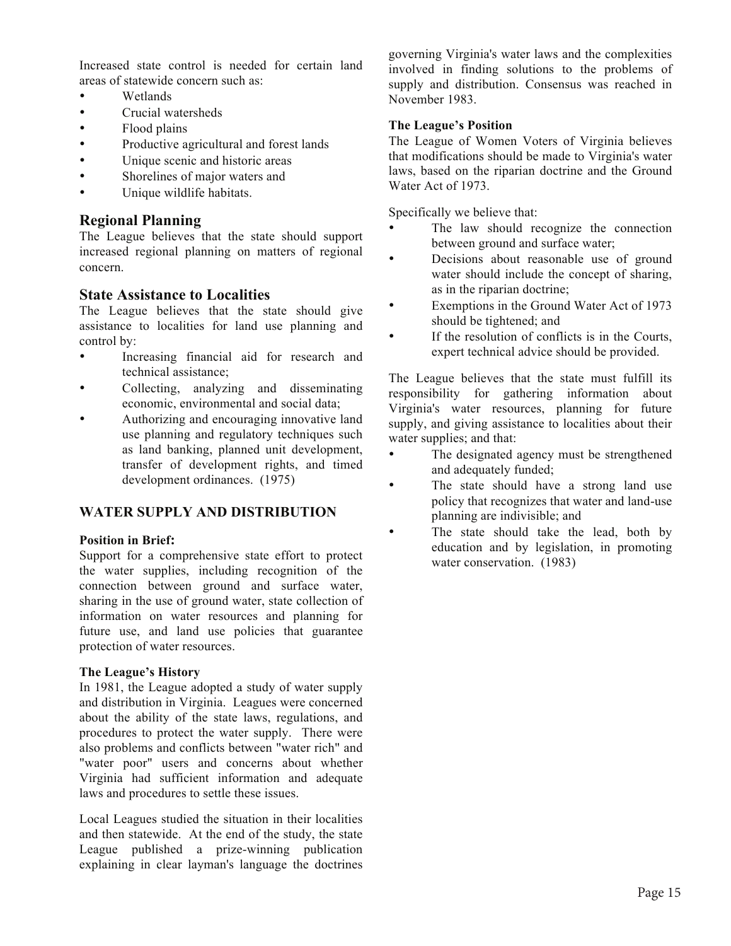Increased state control is needed for certain land areas of statewide concern such as:

- Wetlands
- Crucial watersheds
- Flood plains
- Productive agricultural and forest lands
- Unique scenic and historic areas
- Shorelines of major waters and
- Unique wildlife habitats.

### **Regional Planning**

The League believes that the state should support increased regional planning on matters of regional concern.

### **State Assistance to Localities**

The League believes that the state should give assistance to localities for land use planning and control by:

- Increasing financial aid for research and technical assistance;
- Collecting, analyzing and disseminating economic, environmental and social data;
- Authorizing and encouraging innovative land use planning and regulatory techniques such as land banking, planned unit development, transfer of development rights, and timed development ordinances. (1975)

### **WATER SUPPLY AND DISTRIBUTION**

### **Position in Brief:**

Support for a comprehensive state effort to protect the water supplies, including recognition of the connection between ground and surface water, sharing in the use of ground water, state collection of information on water resources and planning for future use, and land use policies that guarantee protection of water resources.

### **The League's History**

In 1981, the League adopted a study of water supply and distribution in Virginia. Leagues were concerned about the ability of the state laws, regulations, and procedures to protect the water supply. There were also problems and conflicts between "water rich" and "water poor" users and concerns about whether Virginia had sufficient information and adequate laws and procedures to settle these issues.

Local Leagues studied the situation in their localities and then statewide. At the end of the study, the state League published a prize-winning publication explaining in clear layman's language the doctrines governing Virginia's water laws and the complexities involved in finding solutions to the problems of supply and distribution. Consensus was reached in November 1983.

### **The League's Position**

The League of Women Voters of Virginia believes that modifications should be made to Virginia's water laws, based on the riparian doctrine and the Ground Water Act of 1973.

Specifically we believe that:

- The law should recognize the connection between ground and surface water;
- Decisions about reasonable use of ground water should include the concept of sharing, as in the riparian doctrine;
- Exemptions in the Ground Water Act of 1973 should be tightened; and
- If the resolution of conflicts is in the Courts, expert technical advice should be provided.

The League believes that the state must fulfill its responsibility for gathering information about Virginia's water resources, planning for future supply, and giving assistance to localities about their water supplies; and that:

- The designated agency must be strengthened and adequately funded;
- The state should have a strong land use policy that recognizes that water and land-use planning are indivisible; and
- The state should take the lead, both by education and by legislation, in promoting water conservation. (1983)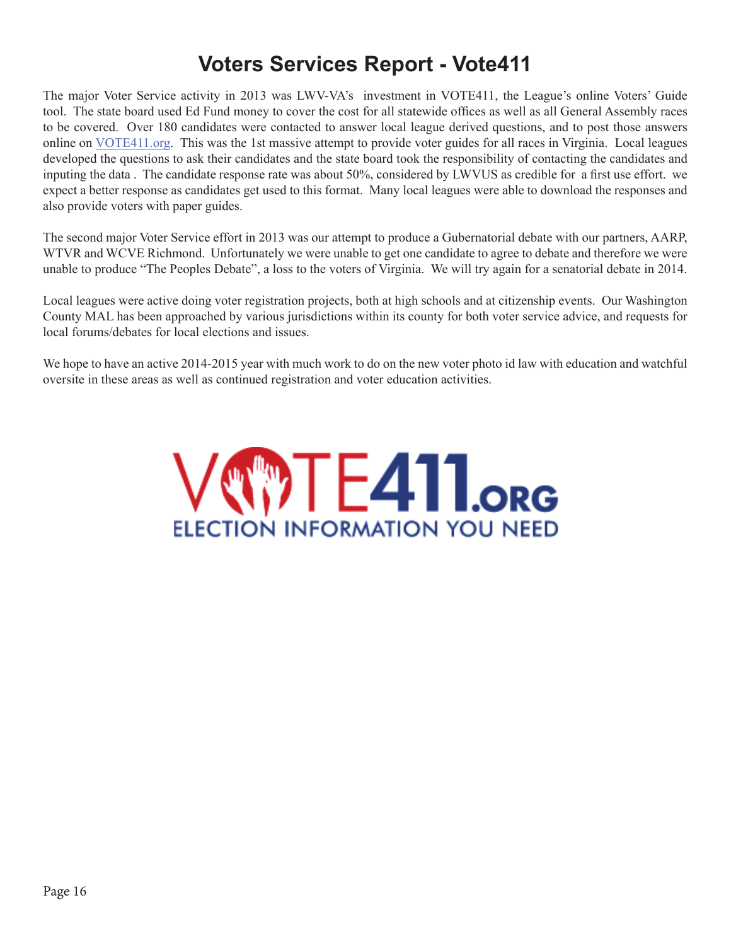# **Voters Services Report - Vote411**

The major Voter Service activity in 2013 was LWV-VA's investment in VOTE411, the League's online Voters' Guide tool. The state board used Ed Fund money to cover the cost for all statewide offices as well as all General Assembly races to be covered. Over 180 candidates were contacted to answer local league derived questions, and to post those answers online on VOTE411.org. This was the 1st massive attempt to provide voter guides for all races in Virginia. Local leagues developed the questions to ask their candidates and the state board took the responsibility of contacting the candidates and inputing the data . The candidate response rate was about 50%, considered by LWVUS as credible for a first use effort. we expect a better response as candidates get used to this format. Many local leagues were able to download the responses and also provide voters with paper guides.

The second major Voter Service effort in 2013 was our attempt to produce a Gubernatorial debate with our partners, AARP, WTVR and WCVE Richmond. Unfortunately we were unable to get one candidate to agree to debate and therefore we were unable to produce "The Peoples Debate", a loss to the voters of Virginia. We will try again for a senatorial debate in 2014.

Local leagues were active doing voter registration projects, both at high schools and at citizenship events. Our Washington County MAL has been approached by various jurisdictions within its county for both voter service advice, and requests for local forums/debates for local elections and issues.

We hope to have an active 2014-2015 year with much work to do on the new voter photo id law with education and watchful oversite in these areas as well as continued registration and voter education activities.

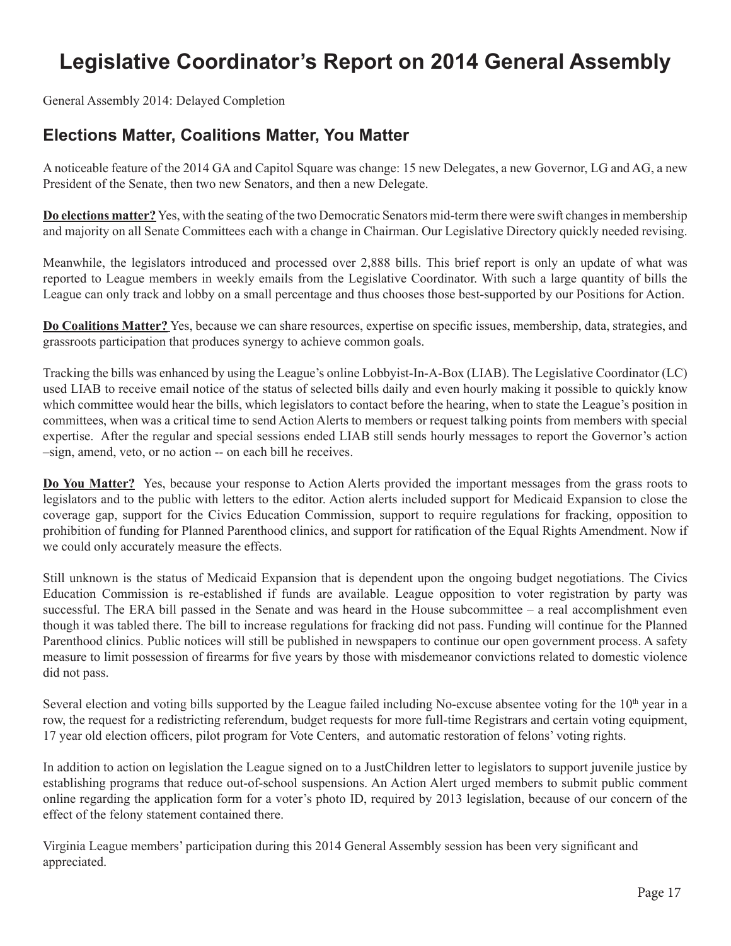# **Legislative Coordinator's Report on 2014 General Assembly**

General Assembly 2014: Delayed Completion

## **Elections Matter, Coalitions Matter, You Matter**

A noticeable feature of the 2014 GA and Capitol Square was change: 15 new Delegates, a new Governor, LG and AG, a new President of the Senate, then two new Senators, and then a new Delegate.

**Do elections matter?** Yes, with the seating of the two Democratic Senators mid-term there were swift changes in membership and majority on all Senate Committees each with a change in Chairman. Our Legislative Directory quickly needed revising.

Meanwhile, the legislators introduced and processed over 2,888 bills. This brief report is only an update of what was reported to League members in weekly emails from the Legislative Coordinator. With such a large quantity of bills the League can only track and lobby on a small percentage and thus chooses those best-supported by our Positions for Action.

**Do Coalitions Matter?** Yes, because we can share resources, expertise on specific issues, membership, data, strategies, and grassroots participation that produces synergy to achieve common goals.

Tracking the bills was enhanced by using the League's online Lobbyist-In-A-Box (LIAB). The Legislative Coordinator (LC) used LIAB to receive email notice of the status of selected bills daily and even hourly making it possible to quickly know which committee would hear the bills, which legislators to contact before the hearing, when to state the League's position in committees, when was a critical time to send Action Alerts to members or request talking points from members with special expertise. After the regular and special sessions ended LIAB still sends hourly messages to report the Governor's action –sign, amend, veto, or no action -- on each bill he receives.

**Do You Matter?** Yes, because your response to Action Alerts provided the important messages from the grass roots to legislators and to the public with letters to the editor. Action alerts included support for Medicaid Expansion to close the coverage gap, support for the Civics Education Commission, support to require regulations for fracking, opposition to prohibition of funding for Planned Parenthood clinics, and support for ratification of the Equal Rights Amendment. Now if we could only accurately measure the effects.

Still unknown is the status of Medicaid Expansion that is dependent upon the ongoing budget negotiations. The Civics Education Commission is re-established if funds are available. League opposition to voter registration by party was successful. The ERA bill passed in the Senate and was heard in the House subcommittee – a real accomplishment even though it was tabled there. The bill to increase regulations for fracking did not pass. Funding will continue for the Planned Parenthood clinics. Public notices will still be published in newspapers to continue our open government process. A safety measure to limit possession of firearms for five years by those with misdemeanor convictions related to domestic violence did not pass.

Several election and voting bills supported by the League failed including No-excuse absentee voting for the  $10<sup>th</sup>$  year in a row, the request for a redistricting referendum, budget requests for more full-time Registrars and certain voting equipment, 17 year old election officers, pilot program for Vote Centers, and automatic restoration of felons' voting rights.

In addition to action on legislation the League signed on to a JustChildren letter to legislators to support juvenile justice by establishing programs that reduce out-of-school suspensions. An Action Alert urged members to submit public comment online regarding the application form for a voter's photo ID, required by 2013 legislation, because of our concern of the effect of the felony statement contained there.

Virginia League members' participation during this 2014 General Assembly session has been very significant and appreciated.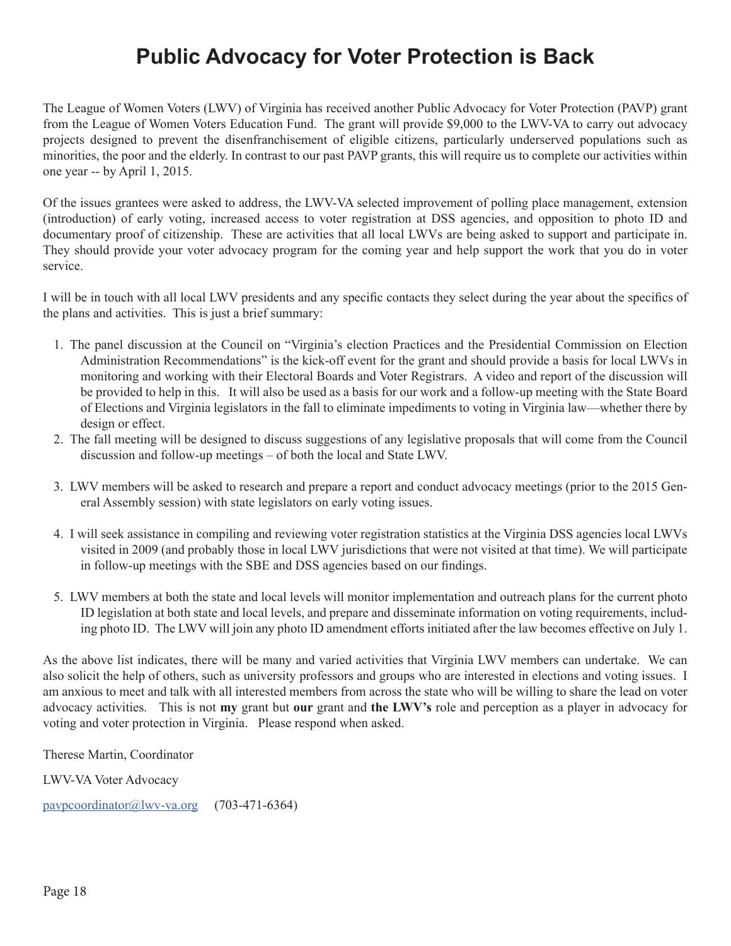# **Public Advocacy for Voter Protection is Back**

The League of Women Voters (LWV) of Virginia has received another Public Advocacy for Voter Protection (PAVP) grant from the League of Women Voters Education Fund. The grant will provide \$9,000 to the LWV-VA to carry out advocacy projects designed to prevent the disenfranchisement of eligible citizens, particularly underserved populations such as minorities, the poor and the elderly. In contrast to our past PAVP grants, this will require us to complete our activities within one year -- by April 1, 2015.

Of the issues grantees were asked to address, the LWV-VA selected improvement of polling place management, extension (introduction) of early voting, increased access to voter registration at DSS agencies, and opposition to photo ID and documentary proof of citizenship. These are activities that all local LWVs are being asked to support and participate in. They should provide your voter advocacy program for the coming year and help support the work that you do in voter service.

I will be in touch with all local LWV presidents and any specific contacts they select during the year about the specifics of the plans and activities. This is just a brief summary:

- 1. The panel discussion at the Council on "Virginia's election Practices and the Presidential Commission on Election Administration Recommendations" is the kick-off event for the grant and should provide a basis for local LWVs in monitoring and working with their Electoral Boards and Voter Registrars. A video and report of the discussion will be provided to help in this. It will also be used as a basis for our work and a follow-up meeting with the State Board of Elections and Virginia legislators in the fall to eliminate impediments to voting in Virginia law—whether there by design or effect.
- 2. The fall meeting will be designed to discuss suggestions of any legislative proposals that will come from the Council discussion and follow-up meetings – of both the local and State LWV.
- 3. LWV members will be asked to research and prepare a report and conduct advocacy meetings (prior to the 2015 General Assembly session) with state legislators on early voting issues.
- 4. I will seek assistance in compiling and reviewing voter registration statistics at the Virginia DSS agencies local LWVs visited in 2009 (and probably those in local LWV jurisdictions that were not visited at that time). We will participate in follow-up meetings with the SBE and DSS agencies based on our findings.
- 5. LWV members at both the state and local levels will monitor implementation and outreach plans for the current photo ID legislation at both state and local levels, and prepare and disseminate information on voting requirements, including photo ID. The LWV will join any photo ID amendment efforts initiated after the law becomes effective on July 1.

As the above list indicates, there will be many and varied activities that Virginia LWV members can undertake. We can also solicit the help of others, such as university professors and groups who are interested in elections and voting issues. I am anxious to meet and talk with all interested members from across the state who will be willing to share the lead on voter advocacy activities. This is not **my** grant but **our** grant and **the LWV's** role and perception as a player in advocacy for voting and voter protection in Virginia. Please respond when asked.

Therese Martin, Coordinator

LWV-VA Voter Advocacy

pavpcoordinator@lwv-va.org (703-471-6364)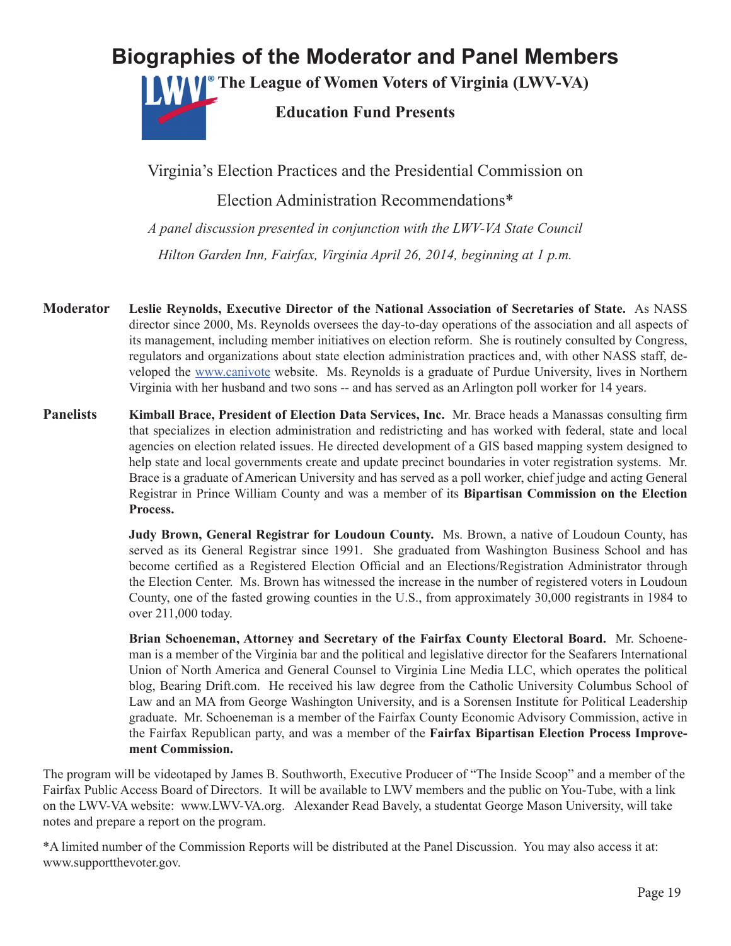# **Biographies of the Moderator and Panel Members**

**The League of Women Voters of Virginia (LWV-VA)**



**Education Fund Presents**

Virginia's Election Practices and the Presidential Commission on Election Administration Recommendations\* *A panel discussion presented in conjunction with the LWV-VA State Council Hilton Garden Inn, Fairfax, Virginia April 26, 2014, beginning at 1 p.m.*

- **Moderator Leslie Reynolds, Executive Director of the National Association of Secretaries of State.** As NASS director since 2000, Ms. Reynolds oversees the day-to-day operations of the association and all aspects of its management, including member initiatives on election reform. She is routinely consulted by Congress, regulators and organizations about state election administration practices and, with other NASS staff, developed the www.canivote website. Ms. Reynolds is a graduate of Purdue University, lives in Northern Virginia with her husband and two sons -- and has served as an Arlington poll worker for 14 years.
- **Panelists Kimball Brace, President of Election Data Services, Inc.** Mr. Brace heads a Manassas consulting firm that specializes in election administration and redistricting and has worked with federal, state and local agencies on election related issues. He directed development of a GIS based mapping system designed to help state and local governments create and update precinct boundaries in voter registration systems. Mr. Brace is a graduate of American University and has served as a poll worker, chief judge and acting General Registrar in Prince William County and was a member of its **Bipartisan Commission on the Election Process.**

**Judy Brown, General Registrar for Loudoun County.** Ms. Brown, a native of Loudoun County, has served as its General Registrar since 1991. She graduated from Washington Business School and has become certified as a Registered Election Official and an Elections/Registration Administrator through the Election Center. Ms. Brown has witnessed the increase in the number of registered voters in Loudoun County, one of the fasted growing counties in the U.S., from approximately 30,000 registrants in 1984 to over 211,000 today.

**Brian Schoeneman, Attorney and Secretary of the Fairfax County Electoral Board.** Mr. Schoeneman is a member of the Virginia bar and the political and legislative director for the Seafarers International Union of North America and General Counsel to Virginia Line Media LLC, which operates the political blog, Bearing Drift.com. He received his law degree from the Catholic University Columbus School of Law and an MA from George Washington University, and is a Sorensen Institute for Political Leadership graduate. Mr. Schoeneman is a member of the Fairfax County Economic Advisory Commission, active in the Fairfax Republican party, and was a member of the **Fairfax Bipartisan Election Process Improvement Commission.** 

The program will be videotaped by James B. Southworth, Executive Producer of "The Inside Scoop" and a member of the Fairfax Public Access Board of Directors. It will be available to LWV members and the public on You-Tube, with a link on the LWV-VA website: www.LWV-VA.org. Alexander Read Bavely, a studentat George Mason University, will take notes and prepare a report on the program.

\*A limited number of the Commission Reports will be distributed at the Panel Discussion. You may also access it at: www.supportthevoter.gov.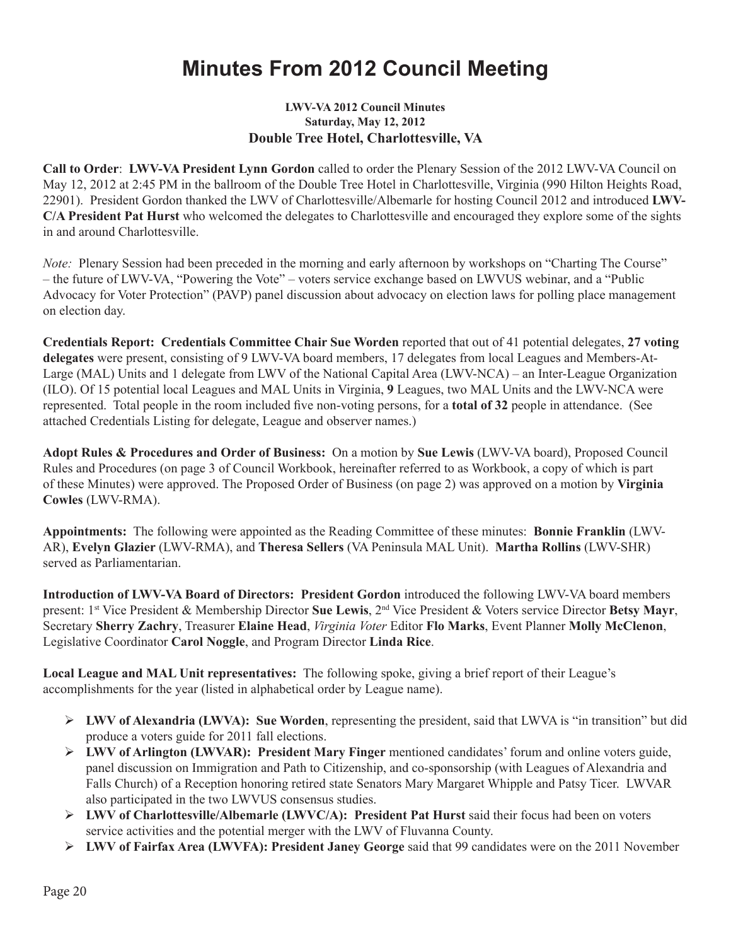# **Minutes From 2012 Council Meeting**

### **LWV-VA 2012 Council Minutes Saturday, May 12, 2012 Double Tree Hotel, Charlottesville, VA**

**Call to Order**: **LWV-VA President Lynn Gordon** called to order the Plenary Session of the 2012 LWV-VA Council on May 12, 2012 at 2:45 PM in the ballroom of the Double Tree Hotel in Charlottesville, Virginia (990 Hilton Heights Road, 22901). President Gordon thanked the LWV of Charlottesville/Albemarle for hosting Council 2012 and introduced **LWV-C/A President Pat Hurst** who welcomed the delegates to Charlottesville and encouraged they explore some of the sights in and around Charlottesville.

*Note:* Plenary Session had been preceded in the morning and early afternoon by workshops on "Charting The Course" – the future of LWV-VA, "Powering the Vote" – voters service exchange based on LWVUS webinar, and a "Public Advocacy for Voter Protection" (PAVP) panel discussion about advocacy on election laws for polling place management on election day.

**Credentials Report: Credentials Committee Chair Sue Worden** reported that out of 41 potential delegates, **27 voting delegates** were present, consisting of 9 LWV-VA board members, 17 delegates from local Leagues and Members-At-Large (MAL) Units and 1 delegate from LWV of the National Capital Area (LWV-NCA) – an Inter-League Organization (ILO). Of 15 potential local Leagues and MAL Units in Virginia, **9** Leagues, two MAL Units and the LWV-NCA were represented. Total people in the room included five non-voting persons, for a **total of 32** people in attendance. (See attached Credentials Listing for delegate, League and observer names.)

**Adopt Rules & Procedures and Order of Business:** On a motion by **Sue Lewis** (LWV-VA board), Proposed Council Rules and Procedures (on page 3 of Council Workbook, hereinafter referred to as Workbook, a copy of which is part of these Minutes) were approved. The Proposed Order of Business (on page 2) was approved on a motion by **Virginia Cowles** (LWV-RMA).

**Appointments:** The following were appointed as the Reading Committee of these minutes: **Bonnie Franklin** (LWV-AR), **Evelyn Glazier** (LWV-RMA), and **Theresa Sellers** (VA Peninsula MAL Unit). **Martha Rollins** (LWV-SHR) served as Parliamentarian.

**Introduction of LWV-VA Board of Directors: President Gordon** introduced the following LWV-VA board members present: 1st Vice President & Membership Director **Sue Lewis**, 2nd Vice President & Voters service Director **Betsy Mayr**, Secretary **Sherry Zachry**, Treasurer **Elaine Head**, *Virginia Voter* Editor **Flo Marks**, Event Planner **Molly McClenon**, Legislative Coordinator **Carol Noggle**, and Program Director **Linda Rice**.

**Local League and MAL Unit representatives:** The following spoke, giving a brief report of their League's accomplishments for the year (listed in alphabetical order by League name).

- Ø **LWV of Alexandria (LWVA): Sue Worden**, representing the president, said that LWVA is "in transition" but did produce a voters guide for 2011 fall elections.
- Ø **LWV of Arlington (LWVAR): President Mary Finger** mentioned candidates' forum and online voters guide, panel discussion on Immigration and Path to Citizenship, and co-sponsorship (with Leagues of Alexandria and Falls Church) of a Reception honoring retired state Senators Mary Margaret Whipple and Patsy Ticer. LWVAR also participated in the two LWVUS consensus studies.
- Ø **LWV of Charlottesville/Albemarle (LWVC/A): President Pat Hurst** said their focus had been on voters service activities and the potential merger with the LWV of Fluvanna County.
- Ø **LWV of Fairfax Area (LWVFA): President Janey George** said that 99 candidates were on the 2011 November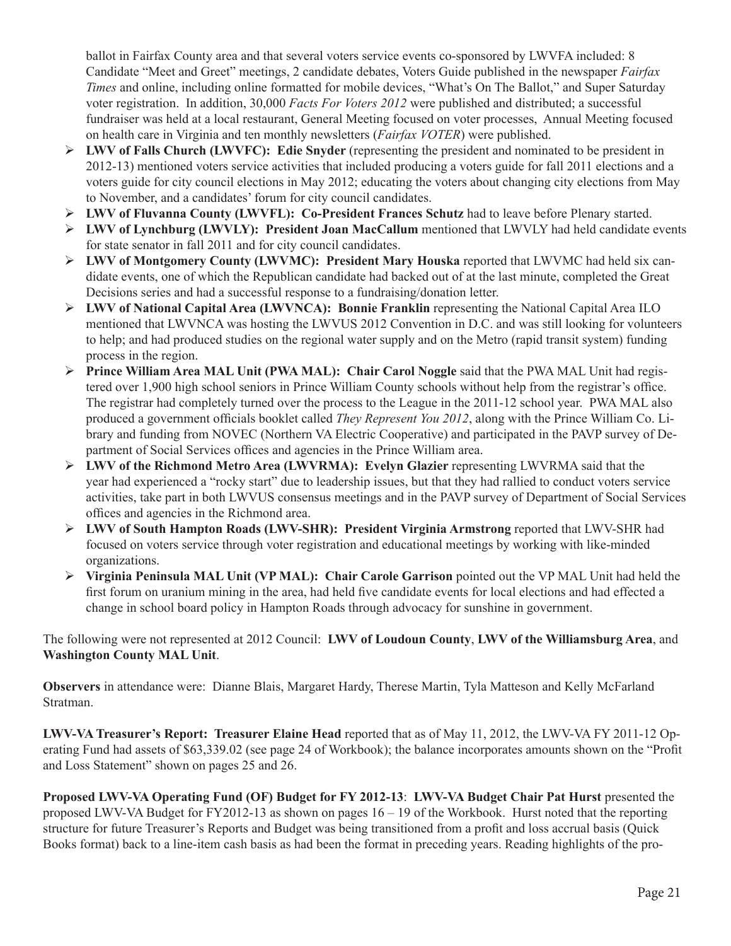ballot in Fairfax County area and that several voters service events co-sponsored by LWVFA included: 8 Candidate "Meet and Greet" meetings, 2 candidate debates, Voters Guide published in the newspaper *Fairfax Times* and online, including online formatted for mobile devices, "What's On The Ballot," and Super Saturday voter registration. In addition, 30,000 *Facts For Voters 2012* were published and distributed; a successful fundraiser was held at a local restaurant, General Meeting focused on voter processes, Annual Meeting focused on health care in Virginia and ten monthly newsletters (*Fairfax VOTER*) were published.

- **EWV of Falls Church (LWVFC): Edie Snyder** (representing the president and nominated to be president in 2012-13) mentioned voters service activities that included producing a voters guide for fall 2011 elections and a voters guide for city council elections in May 2012; educating the voters about changing city elections from May to November, and a candidates' forum for city council candidates.
- Ø **LWV of Fluvanna County (LWVFL): Co-President Frances Schutz** had to leave before Plenary started.
- Ø **LWV of Lynchburg (LWVLY): President Joan MacCallum** mentioned that LWVLY had held candidate events for state senator in fall 2011 and for city council candidates.
- Ø **LWV of Montgomery County (LWVMC): President Mary Houska** reported that LWVMC had held six candidate events, one of which the Republican candidate had backed out of at the last minute, completed the Great Decisions series and had a successful response to a fundraising/donation letter.
- Ø **LWV of National Capital Area (LWVNCA): Bonnie Franklin** representing the National Capital Area ILO mentioned that LWVNCA was hosting the LWVUS 2012 Convention in D.C. and was still looking for volunteers to help; and had produced studies on the regional water supply and on the Metro (rapid transit system) funding process in the region.
- **Prince William Area MAL Unit (PWA MAL): Chair Carol Noggle** said that the PWA MAL Unit had registered over 1,900 high school seniors in Prince William County schools without help from the registrar's office. The registrar had completely turned over the process to the League in the 2011-12 school year. PWA MAL also produced a government officials booklet called *They Represent You 2012*, along with the Prince William Co. Library and funding from NOVEC (Northern VA Electric Cooperative) and participated in the PAVP survey of Department of Social Services offices and agencies in the Prince William area.
- Ø **LWV of the Richmond Metro Area (LWVRMA): Evelyn Glazier** representing LWVRMA said that the year had experienced a "rocky start" due to leadership issues, but that they had rallied to conduct voters service activities, take part in both LWVUS consensus meetings and in the PAVP survey of Department of Social Services offices and agencies in the Richmond area.
- **► LWV of South Hampton Roads (LWV-SHR): President Virginia Armstrong** reported that LWV-SHR had focused on voters service through voter registration and educational meetings by working with like-minded organizations.
- Ø **Virginia Peninsula MAL Unit (VP MAL): Chair Carole Garrison** pointed out the VP MAL Unit had held the first forum on uranium mining in the area, had held five candidate events for local elections and had effected a change in school board policy in Hampton Roads through advocacy for sunshine in government.

### The following were not represented at 2012 Council: **LWV of Loudoun County**, **LWV of the Williamsburg Area**, and **Washington County MAL Unit**.

**Observers** in attendance were: Dianne Blais, Margaret Hardy, Therese Martin, Tyla Matteson and Kelly McFarland Stratman.

**LWV-VA Treasurer's Report: Treasurer Elaine Head** reported that as of May 11, 2012, the LWV-VA FY 2011-12 Operating Fund had assets of \$63,339.02 (see page 24 of Workbook); the balance incorporates amounts shown on the "Profit and Loss Statement" shown on pages 25 and 26.

**Proposed LWV-VA Operating Fund (OF) Budget for FY 2012-13**: **LWV-VA Budget Chair Pat Hurst** presented the proposed LWV-VA Budget for FY2012-13 as shown on pages 16 – 19 of the Workbook. Hurst noted that the reporting structure for future Treasurer's Reports and Budget was being transitioned from a profit and loss accrual basis (Quick Books format) back to a line-item cash basis as had been the format in preceding years. Reading highlights of the pro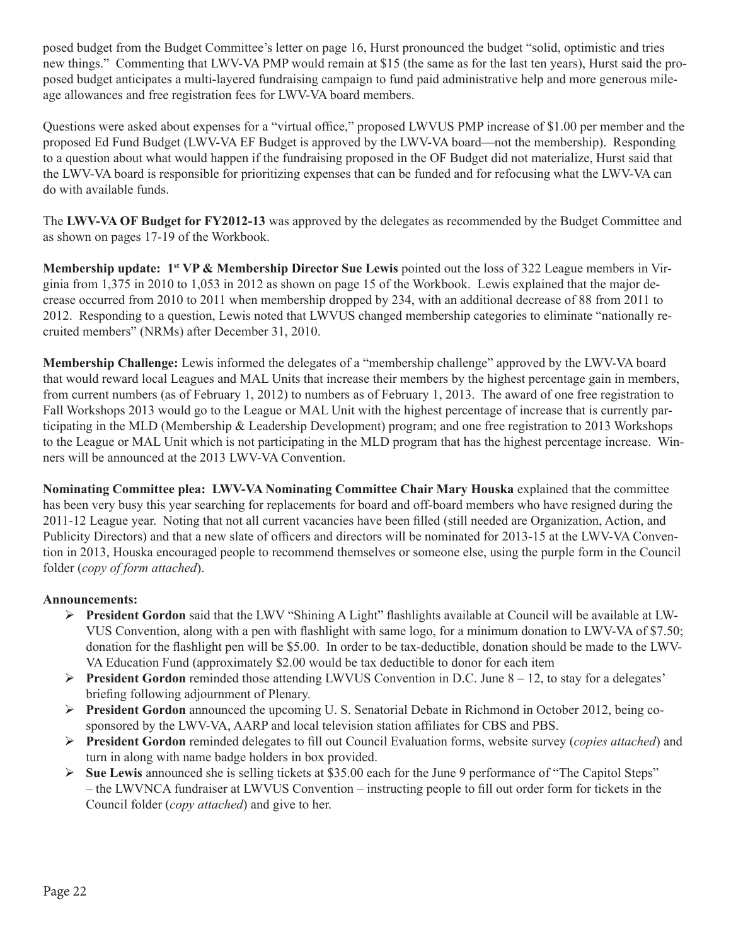posed budget from the Budget Committee's letter on page 16, Hurst pronounced the budget "solid, optimistic and tries new things." Commenting that LWV-VA PMP would remain at \$15 (the same as for the last ten years), Hurst said the proposed budget anticipates a multi-layered fundraising campaign to fund paid administrative help and more generous mileage allowances and free registration fees for LWV-VA board members.

Questions were asked about expenses for a "virtual office," proposed LWVUS PMP increase of \$1.00 per member and the proposed Ed Fund Budget (LWV-VA EF Budget is approved by the LWV-VA board—not the membership). Responding to a question about what would happen if the fundraising proposed in the OF Budget did not materialize, Hurst said that the LWV-VA board is responsible for prioritizing expenses that can be funded and for refocusing what the LWV-VA can do with available funds.

The **LWV-VA OF Budget for FY2012-13** was approved by the delegates as recommended by the Budget Committee and as shown on pages 17-19 of the Workbook.

**Membership update: 1st VP & Membership Director Sue Lewis** pointed out the loss of 322 League members in Virginia from 1,375 in 2010 to 1,053 in 2012 as shown on page 15 of the Workbook. Lewis explained that the major decrease occurred from 2010 to 2011 when membership dropped by 234, with an additional decrease of 88 from 2011 to 2012. Responding to a question, Lewis noted that LWVUS changed membership categories to eliminate "nationally recruited members" (NRMs) after December 31, 2010.

**Membership Challenge:** Lewis informed the delegates of a "membership challenge" approved by the LWV-VA board that would reward local Leagues and MAL Units that increase their members by the highest percentage gain in members, from current numbers (as of February 1, 2012) to numbers as of February 1, 2013. The award of one free registration to Fall Workshops 2013 would go to the League or MAL Unit with the highest percentage of increase that is currently participating in the MLD (Membership & Leadership Development) program; and one free registration to 2013 Workshops to the League or MAL Unit which is not participating in the MLD program that has the highest percentage increase. Winners will be announced at the 2013 LWV-VA Convention.

**Nominating Committee plea: LWV-VA Nominating Committee Chair Mary Houska** explained that the committee has been very busy this year searching for replacements for board and off-board members who have resigned during the 2011-12 League year. Noting that not all current vacancies have been filled (still needed are Organization, Action, and Publicity Directors) and that a new slate of officers and directors will be nominated for 2013-15 at the LWV-VA Convention in 2013, Houska encouraged people to recommend themselves or someone else, using the purple form in the Council folder (*copy of form attached*).

### **Announcements:**

- **President Gordon** said that the LWV "Shining A Light" flashlights available at Council will be available at LW-VUS Convention, along with a pen with flashlight with same logo, for a minimum donation to LWV-VA of \$7.50; donation for the flashlight pen will be \$5.00. In order to be tax-deductible, donation should be made to the LWV-VA Education Fund (approximately \$2.00 would be tax deductible to donor for each item
- **President Gordon** reminded those attending LWVUS Convention in D.C. June  $8 12$ , to stay for a delegates' briefing following adjournment of Plenary.
- **President Gordon** announced the upcoming U. S. Senatorial Debate in Richmond in October 2012, being cosponsored by the LWV-VA, AARP and local television station affiliates for CBS and PBS.
- Ø **President Gordon** reminded delegates to fill out Council Evaluation forms, website survey (*copies attached*) and turn in along with name badge holders in box provided.
- $\triangleright$  **Sue Lewis** announced she is selling tickets at \$35.00 each for the June 9 performance of "The Capitol Steps" – the LWVNCA fundraiser at LWVUS Convention – instructing people to fill out order form for tickets in the Council folder (*copy attached*) and give to her.